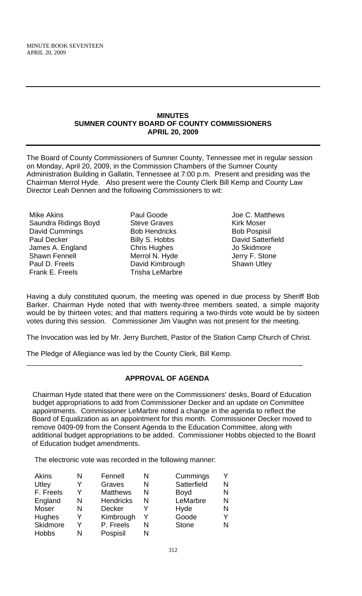#### **MINUTES SUMNER COUNTY BOARD OF COUNTY COMMISSIONERS APRIL 20, 2009**

The Board of County Commissioners of Sumner County, Tennessee met in regular session on Monday, April 20, 2009, in the Commission Chambers of the Sumner County Administration Building in Gallatin, Tennessee at 7:00 p.m. Present and presiding was the Chairman Merrol Hyde. Also present were the County Clerk Bill Kemp and County Law Director Leah Dennen and the following Commissioners to wit:

- Mike Akins Saundra Ridings Boyd David Cummings Paul Decker James A. England Shawn Fennell Paul D. Freels Frank E. Freels
- Paul Goode Steve Graves Bob Hendricks Billy S. Hobbs Chris Hughes Merrol N. Hyde David Kimbrough Trisha LeMarbre
- Joe C. Matthews Kirk Moser Bob Pospisil David Satterfield Jo Skidmore Jerry F. Stone Shawn Utley

Having a duly constituted quorum, the meeting was opened in due process by Sheriff Bob Barker. Chairman Hyde noted that with twenty-three members seated, a simple majority would be by thirteen votes; and that matters requiring a two-thirds vote would be by sixteen votes during this session. Commissioner Jim Vaughn was not present for the meeting.

The Invocation was led by Mr. Jerry Burchett, Pastor of the Station Camp Church of Christ.

The Pledge of Allegiance was led by the County Clerk, Bill Kemp.

# **APPROVAL OF AGENDA**

\_\_\_\_\_\_\_\_\_\_\_\_\_\_\_\_\_\_\_\_\_\_\_\_\_\_\_\_\_\_\_\_\_\_\_\_\_\_\_\_\_\_\_\_\_\_\_\_\_\_\_\_\_\_\_\_\_\_\_\_\_\_\_\_\_\_\_\_\_\_

Chairman Hyde stated that there were on the Commissioners' desks, Board of Education budget appropriations to add from Commissioner Decker and an update on Committee appointments. Commissioner LeMarbre noted a change in the agenda to reflect the Board of Equalization as an appointment for this month. Commissioner Decker moved to remove 0409-09 from the Consent Agenda to the Education Committee, along with additional budget appropriations to be added. Commissioner Hobbs objected to the Board of Education budget amendments.

The electronic vote was recorded in the following manner:

| <b>Akins</b> | N | Fennell          | N | Cummings     |   |
|--------------|---|------------------|---|--------------|---|
| Utley        |   | Graves           | N | Satterfield  | N |
| F. Freels    | Y | <b>Matthews</b>  | N | Boyd         | N |
| England      | N | <b>Hendricks</b> | N | LeMarbre     | N |
| Moser        | N | <b>Decker</b>    |   | Hyde         | N |
| Hughes       | Y | Kimbrough        | Y | Goode        | Y |
| Skidmore     | Y | P. Freels        | N | <b>Stone</b> | N |
| <b>Hobbs</b> | N | Pospisil         | N |              |   |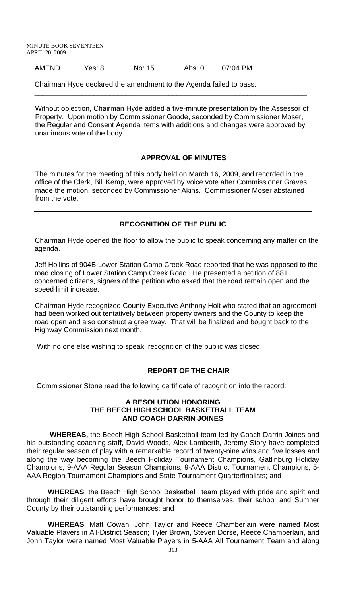AMEND Yes: 8 No: 15 Abs: 0 07:04 PM

Chairman Hyde declared the amendment to the Agenda failed to pass.

Without objection, Chairman Hyde added a five-minute presentation by the Assessor of Property. Upon motion by Commissioner Goode, seconded by Commissioner Moser, the Regular and Consent Agenda items with additions and changes were approved by unanimous vote of the body.

\_\_\_\_\_\_\_\_\_\_\_\_\_\_\_\_\_\_\_\_\_\_\_\_\_\_\_\_\_\_\_\_\_\_\_\_\_\_\_\_\_\_\_\_\_\_\_\_\_\_\_\_\_\_\_\_\_\_\_\_\_\_\_\_\_\_\_\_\_

 $\overline{\phantom{a}}$  , and the contribution of the contribution of the contribution of the contribution of the contribution of the contribution of the contribution of the contribution of the contribution of the contribution of the

#### **APPROVAL OF MINUTES**

The minutes for the meeting of this body held on March 16, 2009, and recorded in the office of the Clerk, Bill Kemp, were approved by voice vote after Commissioner Graves made the motion, seconded by Commissioner Akins. Commissioner Moser abstained from the vote.

### **RECOGNITION OF THE PUBLIC**

Chairman Hyde opened the floor to allow the public to speak concerning any matter on the agenda.

Jeff Hollins of 904B Lower Station Camp Creek Road reported that he was opposed to the road closing of Lower Station Camp Creek Road. He presented a petition of 881 concerned citizens, signers of the petition who asked that the road remain open and the speed limit increase.

Chairman Hyde recognized County Executive Anthony Holt who stated that an agreement had been worked out tentatively between property owners and the County to keep the road open and also construct a greenway. That will be finalized and bought back to the Highway Commission next month.

\_\_\_\_\_\_\_\_\_\_\_\_\_\_\_\_\_\_\_\_\_\_\_\_\_\_\_\_\_\_\_\_\_\_\_\_\_\_\_\_\_\_\_\_\_\_\_\_\_\_\_\_\_\_\_\_\_\_\_\_\_\_\_\_\_\_\_\_\_\_

With no one else wishing to speak, recognition of the public was closed.

#### **REPORT OF THE CHAIR**

Commissioner Stone read the following certificate of recognition into the record:

#### **A RESOLUTION HONORING THE BEECH HIGH SCHOOL BASKETBALL TEAM AND COACH DARRIN JOINES**

 **WHEREAS,** the Beech High School Basketball team led by Coach Darrin Joines and his outstanding coaching staff, David Woods, Alex Lamberth, Jeremy Story have completed their regular season of play with a remarkable record of twenty-nine wins and five losses and along the way becoming the Beech Holiday Tournament Champions, Gatlinburg Holiday Champions, 9-AAA Regular Season Champions, 9-AAA District Tournament Champions, 5- AAA Region Tournament Champions and State Tournament Quarterfinalists; and

**WHEREAS**, the Beech High School Basketball team played with pride and spirit and through their diligent efforts have brought honor to themselves, their school and Sumner County by their outstanding performances; and

**WHEREAS**, Matt Cowan, John Taylor and Reece Chamberlain were named Most Valuable Players in All-District Season; Tyler Brown, Steven Dorse, Reece Chamberlain, and John Taylor were named Most Valuable Players in 5-AAA All Tournament Team and along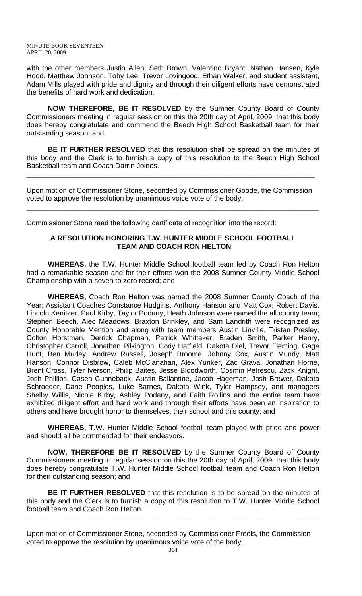with the other members Justin Allen, Seth Brown, Valentino Bryant, Nathan Hansen, Kyle Hood, Matthew Johnson, Toby Lee, Trevor Lovingood, Ethan Walker, and student assistant, Adam Mills played with pride and dignity and through their diligent efforts have demonstrated the benefits of hard work and dedication.

**NOW THEREFORE, BE IT RESOLVED** by the Sumner County Board of County Commissioners meeting in regular session on this the 20th day of April, 2009, that this body does hereby congratulate and commend the Beech High School Basketball team for their outstanding season; and

**BE IT FURTHER RESOLVED** that this resolution shall be spread on the minutes of this body and the Clerk is to furnish a copy of this resolution to the Beech High School Basketball team and Coach Darrin Joines.

Upon motion of Commissioner Stone, seconded by Commissioner Goode, the Commission voted to approve the resolution by unanimous voice vote of the body.

\_\_\_\_\_\_\_\_\_\_\_\_\_\_\_\_\_\_\_\_\_\_\_\_\_\_\_\_\_\_\_\_\_\_\_\_\_\_\_\_\_\_\_\_\_\_\_\_\_\_\_\_\_\_\_\_\_\_\_\_\_\_\_\_\_\_\_\_\_\_\_\_\_\_

\_\_\_\_\_\_\_\_\_\_\_\_\_\_\_\_\_\_\_\_\_\_\_\_\_\_\_\_\_\_\_\_\_\_\_\_\_\_\_\_\_\_\_\_\_\_\_\_\_\_\_\_\_\_\_\_\_\_\_\_\_\_\_\_\_\_\_\_\_\_\_\_\_

Commissioner Stone read the following certificate of recognition into the record:

#### **A RESOLUTION HONORING T.W. HUNTER MIDDLE SCHOOL FOOTBALL TEAM AND COACH RON HELTON**

 **WHEREAS,** the T.W. Hunter Middle School football team led by Coach Ron Helton had a remarkable season and for their efforts won the 2008 Sumner County Middle School Championship with a seven to zero record; and

**WHEREAS,** Coach Ron Helton was named the 2008 Sumner County Coach of the Year; Assistant Coaches Constance Hudgins, Anthony Hanson and Matt Cox; Robert Davis, Lincoln Kenitzer, Paul Kirby, Taylor Podany, Heath Johnson were named the all county team; Stephen Beech, Alec Meadows, Braxton Brinkley, and Sam Landrith were recognized as County Honorable Mention and along with team members Austin Linville, Tristan Presley, Colton Horstman, Derrick Chapman, Patrick Whittaker, Braden Smith, Parker Henry, Christopher Carroll, Jonathan Pilkington, Cody Hatfield, Dakota Diel, Trevor Fleming, Gage Hunt, Ben Murley, Andrew Russell, Joseph Broome, Johnny Cox, Austin Mundy, Matt Hanson, Connor Disbrow, Caleb McClanahan, Alex Yunker, Zac Grava, Jonathan Horne, Brent Cross, Tyler Iverson, Philip Baites, Jesse Bloodworth, Cosmin Petrescu, Zack Knight, Josh Phillips, Casen Cunneback, Austin Ballantine, Jacob Hageman, Josh Brewer, Dakota Schroeder, Dane Peoples, Luke Barnes, Dakota Wink, Tyler Hampsey, and managers Shelby Willis, Nicole Kirby, Ashley Podany, and Faith Rollins and the entire team have exhibited diligent effort and hard work and through their efforts have been an inspiration to others and have brought honor to themselves, their school and this county; and

**WHEREAS,** T.W. Hunter Middle School football team played with pride and power and should all be commended for their endeavors.

**NOW, THEREFORE BE IT RESOLVED** by the Sumner County Board of County Commissioners meeting in regular session on this the 20th day of April, 2009, that this body does hereby congratulate T.W. Hunter Middle School football team and Coach Ron Helton for their outstanding season; and

**BE IT FURTHER RESOLVED** that this resolution is to be spread on the minutes of this body and the Clerk is to furnish a copy of this resolution to T.W. Hunter Middle School football team and Coach Ron Helton.

\_\_\_\_\_\_\_\_\_\_\_\_\_\_\_\_\_\_\_\_\_\_\_\_\_\_\_\_\_\_\_\_\_\_\_\_\_\_\_\_\_\_\_\_\_\_\_\_\_\_\_\_\_\_\_\_\_\_\_\_\_\_\_\_\_\_\_\_\_\_\_\_\_\_

Upon motion of Commissioner Stone, seconded by Commissioner Freels, the Commission voted to approve the resolution by unanimous voice vote of the body.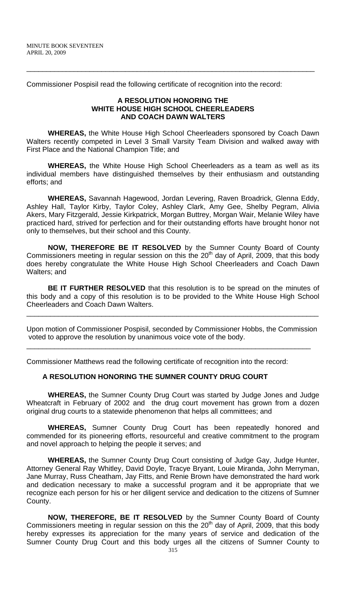Commissioner Pospisil read the following certificate of recognition into the record:

#### **A RESOLUTION HONORING THE WHITE HOUSE HIGH SCHOOL CHEERLEADERS AND COACH DAWN WALTERS**

\_\_\_\_\_\_\_\_\_\_\_\_\_\_\_\_\_\_\_\_\_\_\_\_\_\_\_\_\_\_\_\_\_\_\_\_\_\_\_\_\_\_\_\_\_\_\_\_\_\_\_\_\_\_\_\_\_\_\_\_\_\_\_\_\_\_\_\_\_\_\_\_\_

 **WHEREAS,** the White House High School Cheerleaders sponsored by Coach Dawn Walters recently competed in Level 3 Small Varsity Team Division and walked away with First Place and the National Champion Title; and

**WHEREAS,** the White House High School Cheerleaders as a team as well as its individual members have distinguished themselves by their enthusiasm and outstanding efforts; and

 **WHEREAS,** Savannah Hagewood, Jordan Levering, Raven Broadrick, Glenna Eddy, Ashley Hall, Taylor Kirby, Taylor Coley, Ashley Clark, Amy Gee, Shelby Pegram, Alivia Akers, Mary Fitzgerald, Jessie Kirkpatrick, Morgan Buttrey, Morgan Wair, Melanie Wiley have practiced hard, strived for perfection and for their outstanding efforts have brought honor not only to themselves, but their school and this County.

**NOW, THEREFORE BE IT RESOLVED** by the Sumner County Board of County Commissioners meeting in regular session on this the  $20<sup>th</sup>$  day of April, 2009, that this body does hereby congratulate the White House High School Cheerleaders and Coach Dawn Walters; and

**BE IT FURTHER RESOLVED** that this resolution is to be spread on the minutes of this body and a copy of this resolution is to be provided to the White House High School Cheerleaders and Coach Dawn Walters.

\_\_\_\_\_\_\_\_\_\_\_\_\_\_\_\_\_\_\_\_\_\_\_\_\_\_\_\_\_\_\_\_\_\_\_\_\_\_\_\_\_\_\_\_\_\_\_\_\_\_\_\_\_\_\_\_\_\_\_\_\_\_\_\_\_\_\_\_\_\_\_\_\_\_

Upon motion of Commissioner Pospisil, seconded by Commissioner Hobbs, the Commission voted to approve the resolution by unanimous voice vote of the body.

\_\_\_\_\_\_\_\_\_\_\_\_\_\_\_\_\_\_\_\_\_\_\_\_\_\_\_\_\_\_\_\_\_\_\_\_\_\_\_\_\_\_\_\_\_\_\_\_\_\_\_\_\_\_\_\_\_\_\_\_\_\_\_\_\_\_\_\_\_\_\_\_

Commissioner Matthews read the following certificate of recognition into the record:

# **A RESOLUTION HONORING THE SUMNER COUNTY DRUG COURT**

**WHEREAS,** the Sumner County Drug Court was started by Judge Jones and Judge Wheatcraft in February of 2002 andthe drug court movement has grown from a dozen original drug courts to a statewide phenomenon that helps all committees; and

 **WHEREAS,** Sumner County Drug Court has been repeatedly honored and commended for its pioneering efforts, resourceful and creative commitment to the program and novel approach to helping the people it serves; and

**WHEREAS,** the Sumner County Drug Court consisting of Judge Gay, Judge Hunter, Attorney General Ray Whitley, David Doyle, Tracye Bryant, Louie Miranda, John Merryman, Jane Murray, Russ Cheatham, Jay Fitts, and Renie Brown have demonstrated the hard work and dedication necessary to make a successful program and it be appropriate that we recognize each person for his or her diligent service and dedication to the citizens of Sumner County.

**NOW, THEREFORE, BE IT RESOLVED** by the Sumner County Board of County Commissioners meeting in regular session on this the  $20<sup>th</sup>$  day of April, 2009, that this body hereby expresses its appreciation for the many years of service and dedication of the Sumner County Drug Court and this body urges all the citizens of Sumner County to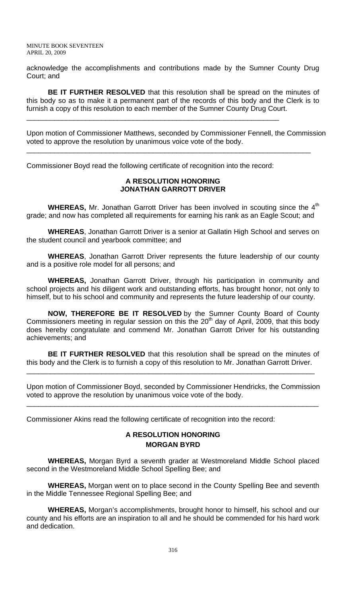acknowledge the accomplishments and contributions made by the Sumner County Drug Court; and

**BE IT FURTHER RESOLVED** that this resolution shall be spread on the minutes of this body so as to make it a permanent part of the records of this body and the Clerk is to furnish a copy of this resolution to each member of the Sumner County Drug Court.

Upon motion of Commissioner Matthews, seconded by Commissioner Fennell, the Commission voted to approve the resolution by unanimous voice vote of the body.

\_\_\_\_\_\_\_\_\_\_\_\_\_\_\_\_\_\_\_\_\_\_\_\_\_\_\_\_\_\_\_\_\_\_\_\_\_\_\_\_\_\_\_\_\_\_\_\_\_\_\_\_\_\_\_\_\_\_\_\_\_\_\_\_\_\_\_\_\_\_\_\_

Commissioner Boyd read the following certificate of recognition into the record:

\_\_\_\_\_\_\_\_\_\_\_\_\_\_\_\_\_\_\_\_\_\_\_\_\_\_\_\_\_\_\_\_\_\_\_\_\_\_\_\_\_\_\_\_\_\_\_\_\_\_\_\_\_\_\_\_\_\_\_\_\_\_\_\_

#### **A RESOLUTION HONORING JONATHAN GARROTT DRIVER**

**WHEREAS,** Mr. Jonathan Garrott Driver has been involved in scouting since the 4<sup>th</sup> grade; and now has completed all requirements for earning his rank as an Eagle Scout; and

**WHEREAS**, Jonathan Garrott Driver is a senior at Gallatin High School and serves on the student council and yearbook committee; and

**WHEREAS**, Jonathan Garrott Driver represents the future leadership of our county and is a positive role model for all persons; and

**WHEREAS,** Jonathan Garrott Driver, through his participation in community and school projects and his diligent work and outstanding efforts, has brought honor, not only to himself, but to his school and community and represents the future leadership of our county.

**NOW, THEREFORE BE IT RESOLVED** by the Sumner County Board of County Commissioners meeting in regular session on this the  $20<sup>th</sup>$  day of April, 2009, that this body does hereby congratulate and commend Mr. Jonathan Garrott Driver for his outstanding achievements; and

**BE IT FURTHER RESOLVED** that this resolution shall be spread on the minutes of this body and the Clerk is to furnish a copy of this resolution to Mr. Jonathan Garrott Driver.

\_\_\_\_\_\_\_\_\_\_\_\_\_\_\_\_\_\_\_\_\_\_\_\_\_\_\_\_\_\_\_\_\_\_\_\_\_\_\_\_\_\_\_\_\_\_\_\_\_\_\_\_\_\_\_\_\_\_\_\_\_\_\_\_\_\_\_\_\_\_\_\_\_

Upon motion of Commissioner Boyd, seconded by Commissioner Hendricks, the Commission voted to approve the resolution by unanimous voice vote of the body.

\_\_\_\_\_\_\_\_\_\_\_\_\_\_\_\_\_\_\_\_\_\_\_\_\_\_\_\_\_\_\_\_\_\_\_\_\_\_\_\_\_\_\_\_\_\_\_\_\_\_\_\_\_\_\_\_\_\_\_\_\_\_\_\_\_\_\_\_\_\_\_\_\_\_

Commissioner Akins read the following certificate of recognition into the record:

## **A RESOLUTION HONORING MORGAN BYRD**

**WHEREAS,** Morgan Byrd a seventh grader at Westmoreland Middle School placed second in the Westmoreland Middle School Spelling Bee; and

 **WHEREAS,** Morgan went on to place second in the County Spelling Bee and seventh in the Middle Tennessee Regional Spelling Bee; and

**WHEREAS,** Morgan's accomplishments, brought honor to himself, his school and our county and his efforts are an inspiration to all and he should be commended for his hard work and dedication.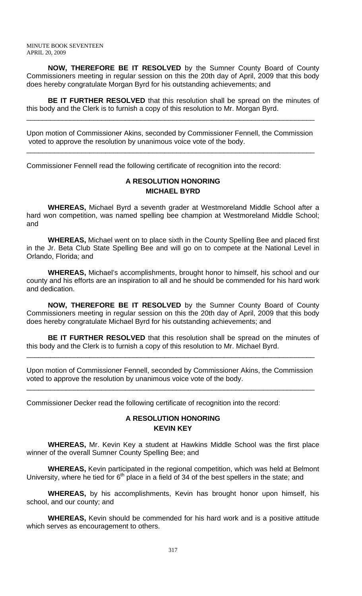**NOW, THEREFORE BE IT RESOLVED** by the Sumner County Board of County Commissioners meeting in regular session on this the 20th day of April, 2009 that this body does hereby congratulate Morgan Byrd for his outstanding achievements; and

**BE IT FURTHER RESOLVED** that this resolution shall be spread on the minutes of this body and the Clerk is to furnish a copy of this resolution to Mr. Morgan Byrd.

\_\_\_\_\_\_\_\_\_\_\_\_\_\_\_\_\_\_\_\_\_\_\_\_\_\_\_\_\_\_\_\_\_\_\_\_\_\_\_\_\_\_\_\_\_\_\_\_\_\_\_\_\_\_\_\_\_\_\_\_\_\_\_\_\_\_\_\_\_\_\_\_\_

Upon motion of Commissioner Akins, seconded by Commissioner Fennell, the Commission voted to approve the resolution by unanimous voice vote of the body.

\_\_\_\_\_\_\_\_\_\_\_\_\_\_\_\_\_\_\_\_\_\_\_\_\_\_\_\_\_\_\_\_\_\_\_\_\_\_\_\_\_\_\_\_\_\_\_\_\_\_\_\_\_\_\_\_\_\_\_\_\_\_\_\_\_\_\_\_\_\_\_\_\_

Commissioner Fennell read the following certificate of recognition into the record:

# **A RESOLUTION HONORING MICHAEL BYRD**

**WHEREAS,** Michael Byrd a seventh grader at Westmoreland Middle School after a hard won competition, was named spelling bee champion at Westmoreland Middle School; and

 **WHEREAS,** Michael went on to place sixth in the County Spelling Bee and placed first in the Jr. Beta Club State Spelling Bee and will go on to compete at the National Level in Orlando, Florida; and

**WHEREAS,** Michael's accomplishments, brought honor to himself, his school and our county and his efforts are an inspiration to all and he should be commended for his hard work and dedication.

 **NOW, THEREFORE BE IT RESOLVED** by the Sumner County Board of County Commissioners meeting in regular session on this the 20th day of April, 2009 that this body does hereby congratulate Michael Byrd for his outstanding achievements; and

**BE IT FURTHER RESOLVED** that this resolution shall be spread on the minutes of this body and the Clerk is to furnish a copy of this resolution to Mr. Michael Byrd.

\_\_\_\_\_\_\_\_\_\_\_\_\_\_\_\_\_\_\_\_\_\_\_\_\_\_\_\_\_\_\_\_\_\_\_\_\_\_\_\_\_\_\_\_\_\_\_\_\_\_\_\_\_\_\_\_\_\_\_\_\_\_\_\_\_\_\_\_\_\_\_\_\_

Upon motion of Commissioner Fennell, seconded by Commissioner Akins, the Commission voted to approve the resolution by unanimous voice vote of the body.

\_\_\_\_\_\_\_\_\_\_\_\_\_\_\_\_\_\_\_\_\_\_\_\_\_\_\_\_\_\_\_\_\_\_\_\_\_\_\_\_\_\_\_\_\_\_\_\_\_\_\_\_\_\_\_\_\_\_\_\_\_\_\_\_\_\_\_\_\_\_\_\_\_

Commissioner Decker read the following certificate of recognition into the record:

### **A RESOLUTION HONORING KEVIN KEY**

**WHEREAS,** Mr. Kevin Key a student at Hawkins Middle School was the first place winner of the overall Sumner County Spelling Bee; and

 **WHEREAS,** Kevin participated in the regional competition, which was held at Belmont University, where he tied for  $6<sup>th</sup>$  place in a field of 34 of the best spellers in the state; and

**WHEREAS,** by his accomplishments, Kevin has brought honor upon himself, his school, and our county; and

**WHEREAS,** Kevin should be commended for his hard work and is a positive attitude which serves as encouragement to others.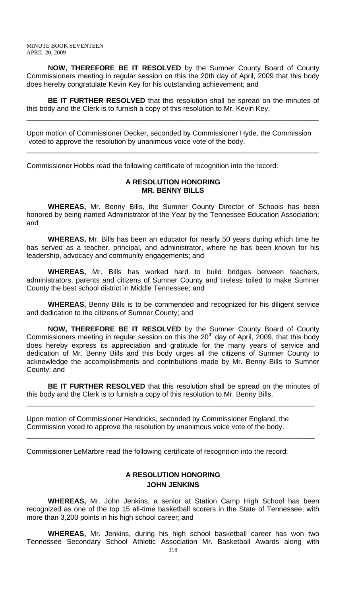**NOW, THEREFORE BE IT RESOLVED** by the Sumner County Board of County Commissioners meeting in regular session on this the 20th day of April, 2009 that this body does hereby congratulate Kevin Key for his outstanding achievement; and

**BE IT FURTHER RESOLVED** that this resolution shall be spread on the minutes of this body and the Clerk is to furnish a copy of this resolution to Mr. Kevin Key.

\_\_\_\_\_\_\_\_\_\_\_\_\_\_\_\_\_\_\_\_\_\_\_\_\_\_\_\_\_\_\_\_\_\_\_\_\_\_\_\_\_\_\_\_\_\_\_\_\_\_\_\_\_\_\_\_\_\_\_\_\_\_\_\_\_\_\_\_\_\_\_\_\_\_

Upon motion of Commissioner Decker, seconded by Commissioner Hyde, the Commission voted to approve the resolution by unanimous voice vote of the body.

\_\_\_\_\_\_\_\_\_\_\_\_\_\_\_\_\_\_\_\_\_\_\_\_\_\_\_\_\_\_\_\_\_\_\_\_\_\_\_\_\_\_\_\_\_\_\_\_\_\_\_\_\_\_\_\_\_\_\_\_\_\_\_\_\_\_\_\_\_\_\_\_\_\_

Commissioner Hobbs read the following certificate of recognition into the record:

## **A RESOLUTION HONORING MR. BENNY BILLS**

 **WHEREAS,** Mr. Benny Bills, the Sumner County Director of Schools has been honored by being named Administrator of the Year by the Tennessee Education Association; and

**WHEREAS,** Mr. Bills has been an educator for nearly 50 years during which time he has served as a teacher, principal, and administrator, where he has been known for his leadership, advocacy and community engagements; and

**WHEREAS,** Mr. Bills has worked hard to build bridges between teachers, administrators, parents and citizens of Sumner County and tireless toiled to make Sumner County the best school district in Middle Tennessee; and

**WHEREAS,** Benny Bills is to be commended and recognized for his diligent service and dedication to the citizens of Sumner County; and

**NOW, THEREFORE BE IT RESOLVED** by the Sumner County Board of County Commissioners meeting in regular session on this the  $20<sup>th</sup>$  day of April, 2009, that this body does hereby express its appreciation and gratitude for the many years of service and dedication of Mr. Benny Bills and this body urges all the citizens of Sumner County to acknowledge the accomplishments and contributions made by Mr. Benny Bills to Sumner County; and

**BE IT FURTHER RESOLVED** that this resolution shall be spread on the minutes of this body and the Clerk is to furnish a copy of this resolution to Mr. Benny Bills.

\_\_\_\_\_\_\_\_\_\_\_\_\_\_\_\_\_\_\_\_\_\_\_\_\_\_\_\_\_\_\_\_\_\_\_\_\_\_\_\_\_\_\_\_\_\_\_\_\_\_\_\_\_\_\_\_\_\_\_\_\_\_\_\_\_\_\_\_\_\_\_\_\_

\_\_\_\_\_\_\_\_\_\_\_\_\_\_\_\_\_\_\_\_\_\_\_\_\_\_\_\_\_\_\_\_\_\_\_\_\_\_\_\_\_\_\_\_\_\_\_\_\_\_\_\_\_\_\_\_\_\_\_\_\_\_\_\_\_\_\_\_\_\_\_\_\_

Upon motion of Commissioner Hendricks, seconded by Commissioner England, the Commission voted to approve the resolution by unanimous voice vote of the body.

Commissioner LeMarbre read the following certificate of recognition into the record:

# **A RESOLUTION HONORING JOHN JENKINS**

**WHEREAS,** Mr. John Jenkins, a senior at Station Camp High School has been recognized as one of the top 15 all-time basketball scorers in the State of Tennessee, with more than 3,200 points in his high school career; and

 **WHEREAS,** Mr. Jenkins, during his high school basketball career has won two Tennessee Secondary School Athletic Association Mr. Basketball Awards along with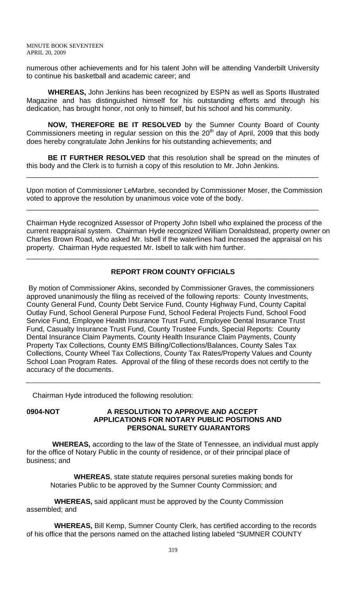numerous other achievements and for his talent John will be attending Vanderbilt University to continue his basketball and academic career; and

**WHEREAS,** John Jenkins has been recognized by ESPN as well as Sports Illustrated Magazine and has distinguished himself for his outstanding efforts and through his dedication, has brought honor, not only to himself, but his school and his community.

 **NOW, THEREFORE BE IT RESOLVED** by the Sumner County Board of County Commissioners meeting in regular session on this the  $20<sup>th</sup>$  day of April, 2009 that this body does hereby congratulate John Jenkins for his outstanding achievements; and

**BE IT FURTHER RESOLVED** that this resolution shall be spread on the minutes of this body and the Clerk is to furnish a copy of this resolution to Mr. John Jenkins.

\_\_\_\_\_\_\_\_\_\_\_\_\_\_\_\_\_\_\_\_\_\_\_\_\_\_\_\_\_\_\_\_\_\_\_\_\_\_\_\_\_\_\_\_\_\_\_\_\_\_\_\_\_\_\_\_\_\_\_\_\_\_\_\_\_\_\_\_\_\_\_\_\_\_

Upon motion of Commissioner LeMarbre, seconded by Commissioner Moser, the Commission voted to approve the resolution by unanimous voice vote of the body.

\_\_\_\_\_\_\_\_\_\_\_\_\_\_\_\_\_\_\_\_\_\_\_\_\_\_\_\_\_\_\_\_\_\_\_\_\_\_\_\_\_\_\_\_\_\_\_\_\_\_\_\_\_\_\_\_\_\_\_\_\_\_\_\_\_\_\_\_\_\_\_\_\_\_

Chairman Hyde recognized Assessor of Property John Isbell who explained the process of the current reappraisal system. Chairman Hyde recognized William Donaldstead, property owner on Charles Brown Road, who asked Mr. Isbell if the waterlines had increased the appraisal on his property. Chairman Hyde requested Mr. Isbell to talk with him further.

# **REPORT FROM COUNTY OFFICIALS**

\_\_\_\_\_\_\_\_\_\_\_\_\_\_\_\_\_\_\_\_\_\_\_\_\_\_\_\_\_\_\_\_\_\_\_\_\_\_\_\_\_\_\_\_\_\_\_\_\_\_\_\_\_\_\_\_\_\_\_\_\_\_\_\_\_\_\_\_\_\_\_\_\_\_

 By motion of Commissioner Akins, seconded by Commissioner Graves, the commissioners approved unanimously the filing as received of the following reports: County Investments, County General Fund, County Debt Service Fund, County Highway Fund, County Capital Outlay Fund, School General Purpose Fund, School Federal Projects Fund, School Food Service Fund, Employee Health Insurance Trust Fund, Employee Dental Insurance Trust Fund, Casualty Insurance Trust Fund, County Trustee Funds, Special Reports: County Dental Insurance Claim Payments, County Health Insurance Claim Payments, County Property Tax Collections, County EMS Billing/Collections/Balances, County Sales Tax Collections, County Wheel Tax Collections, County Tax Rates/Property Values and County School Loan Program Rates. Approval of the filing of these records does not certify to the accuracy of the documents.

Chairman Hyde introduced the following resolution:

### **0904-NOT A RESOLUTION TO APPROVE AND ACCEPT APPLICATIONS FOR NOTARY PUBLIC POSITIONS AND PERSONAL SURETY GUARANTORS**

 **WHEREAS,** according to the law of the State of Tennessee, an individual must apply for the office of Notary Public in the county of residence, or of their principal place of business; and

 **WHEREAS**, state statute requires personal sureties making bonds for Notaries Public to be approved by the Sumner County Commission; and

 **WHEREAS,** said applicant must be approved by the County Commission assembled; and

 **WHEREAS,** Bill Kemp, Sumner County Clerk, has certified according to the records of his office that the persons named on the attached listing labeled "SUMNER COUNTY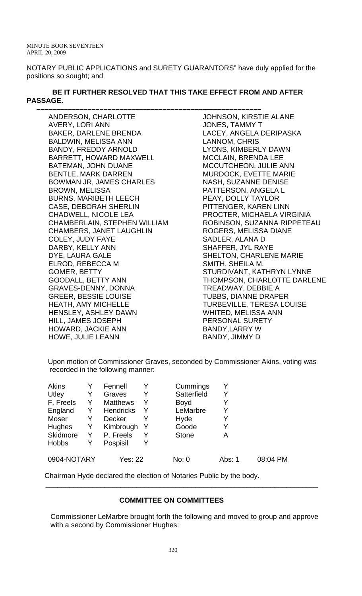NOTARY PUBLIC APPLICATIONS and SURETY GUARANTORS" have duly applied for the positions so sought; and

## **BE IT FURTHER RESOLVED THAT THIS TAKE EFFECT FROM AND AFTER PASSAGE.**

ANDERSON, CHARLOTTE AVERY, LORI ANN BAKER, DARLENE BRENDA BALDWIN, MELISSA ANN BANDY, FREDDY ARNOLD BARRETT, HOWARD MAXWELL BATEMAN, JOHN DUANE BENTLE, MARK DARREN BOWMAN JR, JAMES CHARLES BROWN, MELISSA BURNS, MARIBETH LEECH CASE, DEBORAH SHERLIN CHADWELL, NICOLE LEA CHAMBERLAIN, STEPHEN WILLIAM CHAMBERS, JANET LAUGHLIN COLEY, JUDY FAYE DARBY, KELLY ANN DYE, LAURA GALE ELROD, REBECCA M GOMER, BETTY GOODALL, BETTY ANN GRAVES-DENNY, DONNA GREER, BESSIE LOUISE HEATH, AMY MICHELLE HENSLEY, ASHLEY DAWN HILL, JAMES JOSEPH HOWARD, JACKIE ANN HOWE, JULIE LEANN

 **–––––––––––––––––––––––––––––––––––––––––––––––––––––––––** JOHNSON, KIRSTIE ALANE JONES, TAMMY T LACEY, ANGELA DERIPASKA LANNOM, CHRIS LYONS, KIMBERLY DAWN MCCLAIN, BRENDA LEE MCCUTCHEON, JULIE ANN MURDOCK, EVETTE MARIE NASH, SUZANNE DENISE PATTERSON, ANGELA L PEAY, DOLLY TAYLOR PITTENGER, KAREN LINN PROCTER, MICHAELA VIRGINIA ROBINSON, SUZANNA RIPPETEAU ROGERS, MELISSA DIANE SADLER, ALANA D SHAFFER, JYL RAYE SHELTON, CHARLENE MARIE SMITH, SHEILA M. STURDIVANT, KATHRYN LYNNE THOMPSON, CHARLOTTE DARLENE TREADWAY, DEBBIE A TUBBS, DIANNE DRAPER TURBEVILLE, TERESA LOUISE WHITED, MELISSA ANN PERSONAL SURETY BANDY,LARRY W BANDY, JIMMY D

Upon motion of Commissioner Graves, seconded by Commissioner Akins, voting was recorded in the following manner:

| <b>Akins</b> |   | Fennell          | Y | Cummings     |        |          |
|--------------|---|------------------|---|--------------|--------|----------|
| Utley        | Y | Graves           | Y | Satterfield  |        |          |
| F. Freels    |   | <b>Matthews</b>  | Y | <b>Boyd</b>  |        |          |
| England      | Y | <b>Hendricks</b> | Y | LeMarbre     |        |          |
| Moser        | Y | Decker           | Y | Hyde         |        |          |
| Hughes       | Y | Kimbrough        | Y | Goode        |        |          |
| Skidmore     | Y | P. Freels        | Y | <b>Stone</b> | А      |          |
| <b>Hobbs</b> |   | Pospisil         | Y |              |        |          |
| 0904-NOTARY  |   | Yes: 22          |   | No: 0        | Abs: 1 | 08:04 PM |

Chairman Hyde declared the election of Notaries Public by the body.

# **COMMITTEE ON COMMITTEES**

 $\frac{1}{2}$  ,  $\frac{1}{2}$  ,  $\frac{1}{2}$  ,  $\frac{1}{2}$  ,  $\frac{1}{2}$  ,  $\frac{1}{2}$  ,  $\frac{1}{2}$  ,  $\frac{1}{2}$  ,  $\frac{1}{2}$  ,  $\frac{1}{2}$  ,  $\frac{1}{2}$  ,  $\frac{1}{2}$  ,  $\frac{1}{2}$  ,  $\frac{1}{2}$  ,  $\frac{1}{2}$  ,  $\frac{1}{2}$  ,  $\frac{1}{2}$  ,  $\frac{1}{2}$  ,  $\frac{1$ 

Commissioner LeMarbre brought forth the following and moved to group and approve with a second by Commissioner Hughes: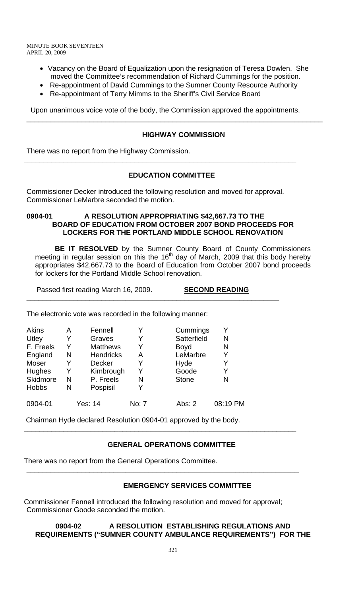> • Vacancy on the Board of Equalization upon the resignation of Teresa Dowlen. She moved the Committee's recommendation of Richard Cummings for the position.

\_\_\_\_\_\_\_\_\_\_\_\_\_\_\_\_\_\_\_\_\_\_\_\_\_\_\_\_\_\_\_\_\_\_\_\_\_\_\_\_\_\_\_\_\_\_\_\_\_\_\_\_\_\_\_\_\_\_\_\_\_\_\_\_\_\_\_\_\_\_\_\_\_\_\_

- Re-appointment of David Cummings to the Sumner County Resource Authority
- Re-appointment of Terry Mimms to the Sheriff's Civil Service Board

Upon unanimous voice vote of the body, the Commission approved the appointments.

# **HIGHWAY COMMISSION**

There was no report from the Highway Commission.

## **EDUCATION COMMITTEE**

Commissioner Decker introduced the following resolution and moved for approval. Commissioner LeMarbre seconded the motion.

**\_\_\_\_\_\_\_\_\_\_\_\_\_\_\_\_\_\_\_\_\_\_\_\_\_\_\_\_\_\_\_\_\_\_\_\_\_\_\_\_\_\_\_\_\_\_\_\_\_\_\_\_\_\_\_\_\_\_\_\_\_\_\_\_\_\_\_\_\_** 

#### **0904-01 A RESOLUTION APPROPRIATING \$42,667.73 TO THE BOARD OF EDUCATION FROM OCTOBER 2007 BOND PROCEEDS FOR LOCKERS FOR THE PORTLAND MIDDLE SCHOOL RENOVATION**

 **BE IT RESOLVED** by the Sumner County Board of County Commissioners meeting in regular session on this the  $16<sup>th</sup>$  day of March, 2009 that this body hereby appropriates \$42,667.73 to the Board of Education from October 2007 bond proceeds for lockers for the Portland Middle School renovation.

Passed first reading March 16, 2009. **SECOND READING**

**\_\_\_\_\_\_\_\_\_\_\_\_\_\_\_\_\_\_\_\_\_\_\_\_\_\_\_\_\_\_\_\_\_\_\_\_\_\_\_\_\_\_\_\_\_\_\_\_\_\_\_\_\_\_\_\_\_\_\_\_\_\_\_\_**

The electronic vote was recorded in the following manner:

| <b>Akins</b> | А | Fennell          |              | Cummings     | Y        |
|--------------|---|------------------|--------------|--------------|----------|
| Utley        | Y | Graves           | Y            | Satterfield  | N        |
| F. Freels    | Y | <b>Matthews</b>  | Y            | <b>Boyd</b>  | N        |
| England      | N | <b>Hendricks</b> | А            | LeMarbre     | Y        |
| <b>Moser</b> | Y | Decker           |              | Hyde         | Y        |
| Hughes       | Y | Kimbrough        | Y            | Goode        | Y        |
| Skidmore     | N | P. Freels        | N            | <b>Stone</b> | N        |
| <b>Hobbs</b> | N | Pospisil         |              |              |          |
| 0904-01      |   | Yes: 14          | <b>No: 7</b> | Abs: $2$     | 08:19 PM |

Chairman Hyde declared Resolution 0904-01 approved by the body.

#### **GENERAL OPERATIONS COMMITTEE**

**\_\_\_\_\_\_\_\_\_\_\_\_\_\_\_\_\_\_\_\_\_\_\_\_\_\_\_\_\_\_\_\_\_\_\_\_\_\_\_\_\_\_\_\_\_\_\_\_\_\_\_\_\_\_\_\_\_\_\_\_\_\_\_\_\_\_\_\_\_** 

**\_\_\_\_\_\_\_\_\_\_\_\_\_\_\_\_\_\_\_\_\_\_\_\_\_\_\_\_\_\_\_\_\_\_\_\_\_\_\_\_\_\_\_\_\_\_\_\_\_\_\_\_\_\_\_\_\_\_\_\_\_\_\_\_\_\_\_\_\_** 

There was no report from the General Operations Committee.

#### **EMERGENCY SERVICES COMMITTEE**

Commissioner Fennell introduced the following resolution and moved for approval; Commissioner Goode seconded the motion.

## **0904-02 A RESOLUTION ESTABLISHING REGULATIONS AND REQUIREMENTS ("SUMNER COUNTY AMBULANCE REQUIREMENTS") FOR THE**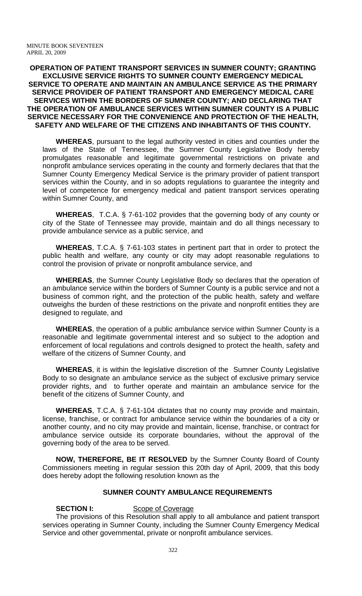#### **OPERATION OF PATIENT TRANSPORT SERVICES IN SUMNER COUNTY; GRANTING EXCLUSIVE SERVICE RIGHTS TO SUMNER COUNTY EMERGENCY MEDICAL SERVICE TO OPERATE AND MAINTAIN AN AMBULANCE SERVICE AS THE PRIMARY SERVICE PROVIDER OF PATIENT TRANSPORT AND EMERGENCY MEDICAL CARE SERVICES WITHIN THE BORDERS OF SUMNER COUNTY; AND DECLARING THAT THE OPERATION OF AMBULANCE SERVICES WITHIN SUMNER COUNTY IS A PUBLIC SERVICE NECESSARY FOR THE CONVENIENCE AND PROTECTION OF THE HEALTH, SAFETY AND WELFARE OF THE CITIZENS AND INHABITANTS OF THIS COUNTY.**

**WHEREAS**, pursuant to the legal authority vested in cities and counties under the laws of the State of Tennessee, the Sumner County Legislative Body hereby promulgates reasonable and legitimate governmental restrictions on private and nonprofit ambulance services operating in the county and formerly declares that that the Sumner County Emergency Medical Service is the primary provider of patient transport services within the County, and in so adopts regulations to guarantee the integrity and level of competence for emergency medical and patient transport services operating within Sumner County, and

**WHEREAS**, T.C.A. § 7-61-102 provides that the governing body of any county or city of the State of Tennessee may provide, maintain and do all things necessary to provide ambulance service as a public service, and

**WHEREAS**, T.C.A. § 7-61-103 states in pertinent part that in order to protect the public health and welfare, any county or city may adopt reasonable regulations to control the provision of private or nonprofit ambulance service, and

**WHEREAS**, the Sumner County Legislative Body so declares that the operation of an ambulance service within the borders of Sumner County is a public service and not a business of common right, and the protection of the public health, safety and welfare outweighs the burden of these restrictions on the private and nonprofit entities they are designed to regulate, and

**WHEREAS**, the operation of a public ambulance service within Sumner County is a reasonable and legitimate governmental interest and so subject to the adoption and enforcement of local regulations and controls designed to protect the health, safety and welfare of the citizens of Sumner County, and

**WHEREAS**, it is within the legislative discretion of the Sumner County Legislative Body to so designate an ambulance service as the subject of exclusive primary service provider rights, and to further operate and maintain an ambulance service for the benefit of the citizens of Sumner County, and

**WHEREAS**, T.C.A. § 7-61-104 dictates that no county may provide and maintain, license, franchise, or contract for ambulance service within the boundaries of a city or another county, and no city may provide and maintain, license, franchise, or contract for ambulance service outside its corporate boundaries, without the approval of the governing body of the area to be served.

**NOW, THEREFORE, BE IT RESOLVED** by the Sumner County Board of County Commissioners meeting in regular session this 20th day of April, 2009, that this body does hereby adopt the following resolution known as the

# **SUMNER COUNTY AMBULANCE REQUIREMENTS**

#### **SECTION I:** Scope of Coverage

The provisions of this Resolution shall apply to all ambulance and patient transport services operating in Sumner County, including the Sumner County Emergency Medical Service and other governmental, private or nonprofit ambulance services.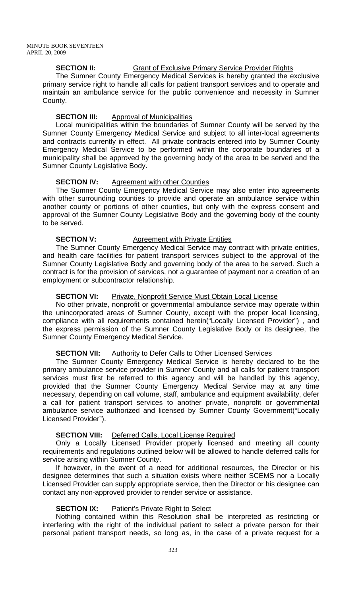# **SECTION II:** Grant of Exclusive Primary Service Provider Rights

The Sumner County Emergency Medical Services is hereby granted the exclusive primary service right to handle all calls for patient transport services and to operate and maintain an ambulance service for the public convenience and necessity in Sumner County.

#### **SECTION III:** Approval of Municipalities

Local municipalities within the boundaries of Sumner County will be served by the Sumner County Emergency Medical Service and subject to all inter-local agreements and contracts currently in effect. All private contracts entered into by Sumner County Emergency Medical Service to be performed within the corporate boundaries of a municipality shall be approved by the governing body of the area to be served and the Sumner County Legislative Body.

#### **SECTION IV:** Agreement with other Counties

The Sumner County Emergency Medical Service may also enter into agreements with other surrounding counties to provide and operate an ambulance service within another county or portions of other counties, but only with the express consent and approval of the Sumner County Legislative Body and the governing body of the county to be served.

#### **SECTION V:** Agreement with Private Entities

The Sumner County Emergency Medical Service may contract with private entities, and health care facilities for patient transport services subject to the approval of the Sumner County Legislative Body and governing body of the area to be served. Such a contract is for the provision of services, not a guarantee of payment nor a creation of an employment or subcontractor relationship.

#### **SECTION VI:** Private, Nonprofit Service Must Obtain Local License

No other private, nonprofit or governmental ambulance service may operate within the unincorporated areas of Sumner County, except with the proper local licensing, compliance with all requirements contained herein("Locally Licensed Provider") , and the express permission of the Sumner County Legislative Body or its designee, the Sumner County Emergency Medical Service.

#### **SECTION VII:** Authority to Defer Calls to Other Licensed Services

The Sumner County Emergency Medical Service is hereby declared to be the primary ambulance service provider in Sumner County and all calls for patient transport services must first be referred to this agency and will be handled by this agency, provided that the Sumner County Emergency Medical Service may at any time necessary, depending on call volume, staff, ambulance and equipment availability, defer a call for patient transport services to another private, nonprofit or governmental ambulance service authorized and licensed by Sumner County Government("Locally Licensed Provider").

#### **SECTION VIII:** Deferred Calls, Local License Required

Only a Locally Licensed Provider properly licensed and meeting all county requirements and regulations outlined below will be allowed to handle deferred calls for service arising within Sumner County.

If however, in the event of a need for additional resources, the Director or his designee determines that such a situation exists where neither SCEMS nor a Locally Licensed Provider can supply appropriate service, then the Director or his designee can contact any non-approved provider to render service or assistance.

#### **SECTION IX:** Patient's Private Right to Select

Nothing contained within this Resolution shall be interpreted as restricting or interfering with the right of the individual patient to select a private person for their personal patient transport needs, so long as, in the case of a private request for a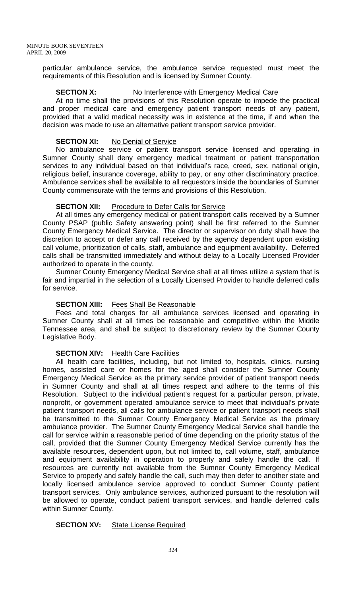particular ambulance service, the ambulance service requested must meet the requirements of this Resolution and is licensed by Sumner County.

#### **SECTION X:** No Interference with Emergency Medical Care

At no time shall the provisions of this Resolution operate to impede the practical and proper medical care and emergency patient transport needs of any patient, provided that a valid medical necessity was in existence at the time, if and when the decision was made to use an alternative patient transport service provider.

#### **SECTION XI:** No Denial of Service

No ambulance service or patient transport service licensed and operating in Sumner County shall deny emergency medical treatment or patient transportation services to any individual based on that individual's race, creed, sex, national origin, religious belief, insurance coverage, ability to pay, or any other discriminatory practice. Ambulance services shall be available to all requestors inside the boundaries of Sumner County commensurate with the terms and provisions of this Resolution.

## **SECTION XII:** Procedure to Defer Calls for Service

At all times any emergency medical or patient transport calls received by a Sumner County PSAP (public Safety answering point) shall be first referred to the Sumner County Emergency Medical Service. The director or supervisor on duty shall have the discretion to accept or defer any call received by the agency dependent upon existing call volume, prioritization of calls, staff, ambulance and equipment availability. Deferred calls shall be transmitted immediately and without delay to a Locally Licensed Provider authorized to operate in the county.

Sumner County Emergency Medical Service shall at all times utilize a system that is fair and impartial in the selection of a Locally Licensed Provider to handle deferred calls for service.

# **SECTION XIII:** Fees Shall Be Reasonable

Fees and total charges for all ambulance services licensed and operating in Sumner County shall at all times be reasonable and competitive within the Middle Tennessee area, and shall be subject to discretionary review by the Sumner County Legislative Body.

# **SECTION XIV:** Health Care Facilities

All health care facilities, including, but not limited to, hospitals, clinics, nursing homes, assisted care or homes for the aged shall consider the Sumner County Emergency Medical Service as the primary service provider of patient transport needs in Sumner County and shall at all times respect and adhere to the terms of this Resolution. Subject to the individual patient's request for a particular person, private, nonprofit, or government operated ambulance service to meet that individual's private patient transport needs, all calls for ambulance service or patient transport needs shall be transmitted to the Sumner County Emergency Medical Service as the primary ambulance provider. The Sumner County Emergency Medical Service shall handle the call for service within a reasonable period of time depending on the priority status of the call, provided that the Sumner County Emergency Medical Service currently has the available resources, dependent upon, but not limited to, call volume, staff, ambulance and equipment availability in operation to properly and safely handle the call. If resources are currently not available from the Sumner County Emergency Medical Service to properly and safely handle the call, such may then defer to another state and locally licensed ambulance service approved to conduct Sumner County patient transport services. Only ambulance services, authorized pursuant to the resolution will be allowed to operate, conduct patient transport services, and handle deferred calls within Sumner County.

# **SECTION XV:** State License Required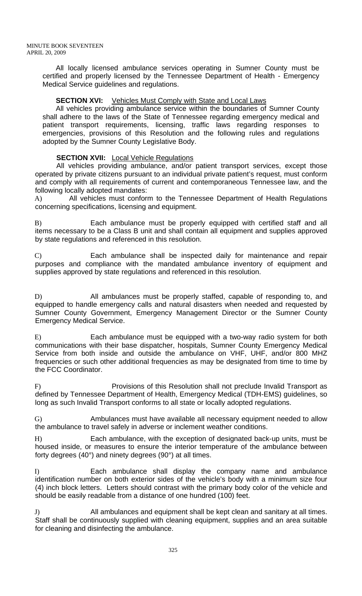All locally licensed ambulance services operating in Sumner County must be certified and properly licensed by the Tennessee Department of Health - Emergency Medical Service guidelines and regulations.

# **SECTION XVI:** Vehicles Must Comply with State and Local Laws

All vehicles providing ambulance service within the boundaries of Sumner County shall adhere to the laws of the State of Tennessee regarding emergency medical and patient transport requirements, licensing, traffic laws regarding responses to emergencies, provisions of this Resolution and the following rules and regulations adopted by the Sumner County Legislative Body.

# **SECTION XVII:** Local Vehicle Regulations

All vehicles providing ambulance, and/or patient transport services, except those operated by private citizens pursuant to an individual private patient's request, must conform and comply with all requirements of current and contemporaneous Tennessee law, and the following locally adopted mandates:

A) All vehicles must conform to the Tennessee Department of Health Regulations concerning specifications, licensing and equipment.

B) Each ambulance must be properly equipped with certified staff and all items necessary to be a Class B unit and shall contain all equipment and supplies approved by state regulations and referenced in this resolution.

C) Each ambulance shall be inspected daily for maintenance and repair purposes and compliance with the mandated ambulance inventory of equipment and supplies approved by state regulations and referenced in this resolution.

D) All ambulances must be properly staffed, capable of responding to, and equipped to handle emergency calls and natural disasters when needed and requested by Sumner County Government, Emergency Management Director or the Sumner County Emergency Medical Service.

E) Each ambulance must be equipped with a two-way radio system for both communications with their base dispatcher, hospitals, Sumner County Emergency Medical Service from both inside and outside the ambulance on VHF, UHF, and/or 800 MHZ frequencies or such other additional frequencies as may be designated from time to time by the FCC Coordinator.

F) Provisions of this Resolution shall not preclude Invalid Transport as defined by Tennessee Department of Health, Emergency Medical (TDH-EMS) guidelines, so long as such Invalid Transport conforms to all state or locally adopted regulations.

G) Ambulances must have available all necessary equipment needed to allow the ambulance to travel safely in adverse or inclement weather conditions.

Each ambulance, with the exception of designated back-up units, must be housed inside, or measures to ensure the interior temperature of the ambulance between forty degrees (40°) and ninety degrees (90°) at all times.

I) Each ambulance shall display the company name and ambulance identification number on both exterior sides of the vehicle's body with a minimum size four (4) inch block letters. Letters should contrast with the primary body color of the vehicle and should be easily readable from a distance of one hundred (100) feet.

J) All ambulances and equipment shall be kept clean and sanitary at all times. Staff shall be continuously supplied with cleaning equipment, supplies and an area suitable for cleaning and disinfecting the ambulance.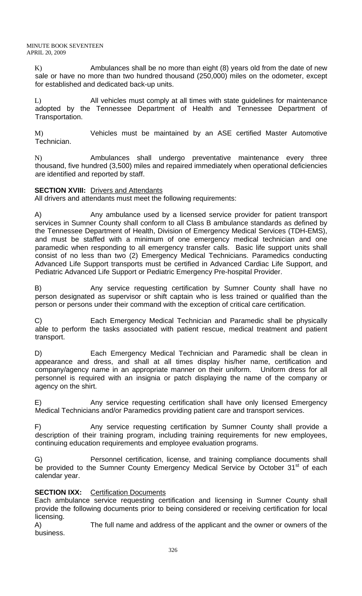K) Ambulances shall be no more than eight (8) years old from the date of new sale or have no more than two hundred thousand (250,000) miles on the odometer, except for established and dedicated back-up units.

L) All vehicles must comply at all times with state guidelines for maintenance adopted by the Tennessee Department of Health and Tennessee Department of Transportation.

M) Vehicles must be maintained by an ASE certified Master Automotive Technician.

N) Ambulances shall undergo preventative maintenance every three thousand, five hundred (3,500) miles and repaired immediately when operational deficiencies are identified and reported by staff.

# **SECTION XVIII:** Drivers and Attendants

All drivers and attendants must meet the following requirements:

A) Any ambulance used by a licensed service provider for patient transport services in Sumner County shall conform to all Class B ambulance standards as defined by the Tennessee Department of Health, Division of Emergency Medical Services (TDH-EMS), and must be staffed with a minimum of one emergency medical technician and one paramedic when responding to all emergency transfer calls. Basic life support units shall consist of no less than two (2) Emergency Medical Technicians. Paramedics conducting Advanced Life Support transports must be certified in Advanced Cardiac Life Support, and Pediatric Advanced Life Support or Pediatric Emergency Pre-hospital Provider.

B) Any service requesting certification by Sumner County shall have no person designated as supervisor or shift captain who is less trained or qualified than the person or persons under their command with the exception of critical care certification.

C) Each Emergency Medical Technician and Paramedic shall be physically able to perform the tasks associated with patient rescue, medical treatment and patient transport.

D) Each Emergency Medical Technician and Paramedic shall be clean in appearance and dress, and shall at all times display his/her name, certification and company/agency name in an appropriate manner on their uniform. Uniform dress for all personnel is required with an insignia or patch displaying the name of the company or agency on the shirt.

E) Any service requesting certification shall have only licensed Emergency Medical Technicians and/or Paramedics providing patient care and transport services.

F) Any service requesting certification by Sumner County shall provide a description of their training program, including training requirements for new employees, continuing education requirements and employee evaluation programs.

G) Personnel certification, license, and training compliance documents shall be provided to the Sumner County Emergency Medical Service by October 31<sup>st</sup> of each calendar year.

# **SECTION IXX:** Certification Documents

Each ambulance service requesting certification and licensing in Sumner County shall provide the following documents prior to being considered or receiving certification for local licensing.

A) The full name and address of the applicant and the owner or owners of the business.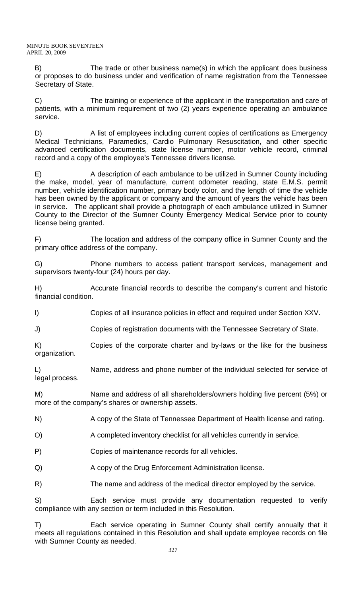B) The trade or other business name(s) in which the applicant does business or proposes to do business under and verification of name registration from the Tennessee Secretary of State.

C) The training or experience of the applicant in the transportation and care of patients, with a minimum requirement of two (2) years experience operating an ambulance service.

D) A list of employees including current copies of certifications as Emergency Medical Technicians, Paramedics, Cardio Pulmonary Resuscitation, and other specific advanced certification documents, state license number, motor vehicle record, criminal record and a copy of the employee's Tennessee drivers license.

E) A description of each ambulance to be utilized in Sumner County including the make, model, year of manufacture, current odometer reading, state E.M.S. permit number, vehicle identification number, primary body color, and the length of time the vehicle has been owned by the applicant or company and the amount of years the vehicle has been in service. The applicant shall provide a photograph of each ambulance utilized in Sumner County to the Director of the Sumner County Emergency Medical Service prior to county license being granted.

F) The location and address of the company office in Sumner County and the primary office address of the company.

G) Phone numbers to access patient transport services, management and supervisors twenty-four (24) hours per day.

H) Accurate financial records to describe the company's current and historic financial condition.

I) Copies of all insurance policies in effect and required under Section XXV.

J) Copies of registration documents with the Tennessee Secretary of State.

K) Copies of the corporate charter and by-laws or the like for the business organization.

L) Name, address and phone number of the individual selected for service of legal process.

M) Name and address of all shareholders/owners holding five percent (5%) or more of the company's shares or ownership assets.

N) A copy of the State of Tennessee Department of Health license and rating.

O) A completed inventory checklist for all vehicles currently in service.

P) Copies of maintenance records for all vehicles.

Q) A copy of the Drug Enforcement Administration license.

R) The name and address of the medical director employed by the service.

S) Each service must provide any documentation requested to verify compliance with any section or term included in this Resolution.

T) Each service operating in Sumner County shall certify annually that it meets all regulations contained in this Resolution and shall update employee records on file with Sumner County as needed.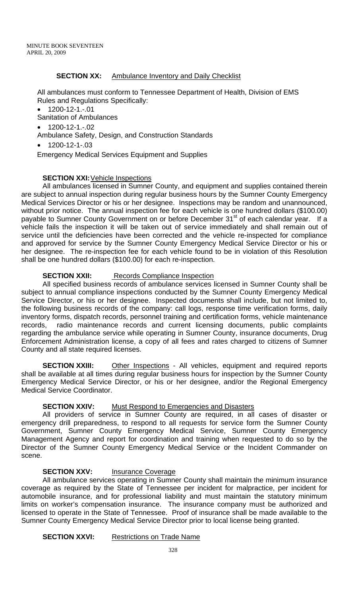## **SECTION XX:** Ambulance Inventory and Daily Checklist

All ambulances must conform to Tennessee Department of Health, Division of EMS Rules and Regulations Specifically:

• 1200-12-1.-.01

Sanitation of Ambulances

- 1200-12-1.-.02
- Ambulance Safety, Design, and Construction Standards

• 1200-12-1-.03

Emergency Medical Services Equipment and Supplies

## **SECTION XXI:** Vehicle Inspections

All ambulances licensed in Sumner County, and equipment and supplies contained therein are subject to annual inspection during regular business hours by the Sumner County Emergency Medical Services Director or his or her designee. Inspections may be random and unannounced, without prior notice. The annual inspection fee for each vehicle is one hundred dollars (\$100.00) payable to Sumner County Government on or before December 31<sup>st</sup> of each calendar year. If a vehicle fails the inspection it will be taken out of service immediately and shall remain out of service until the deficiencies have been corrected and the vehicle re-inspected for compliance and approved for service by the Sumner County Emergency Medical Service Director or his or her designee. The re-inspection fee for each vehicle found to be in violation of this Resolution shall be one hundred dollars (\$100.00) for each re-inspection.

## **SECTION XXII:** Records Compliance Inspection

All specified business records of ambulance services licensed in Sumner County shall be subject to annual compliance inspections conducted by the Sumner County Emergency Medical Service Director, or his or her designee. Inspected documents shall include, but not limited to, the following business records of the company: call logs, response time verification forms, daily inventory forms, dispatch records, personnel training and certification forms, vehicle maintenance records, radio maintenance records and current licensing documents, public complaints regarding the ambulance service while operating in Sumner County, insurance documents, Drug Enforcement Administration license, a copy of all fees and rates charged to citizens of Sumner County and all state required licenses.

**SECTION XXIII:** Other Inspections - All vehicles, equipment and required reports shall be available at all times during regular business hours for inspection by the Sumner County Emergency Medical Service Director, or his or her designee, and/or the Regional Emergency Medical Service Coordinator.

# **SECTION XXIV:** Must Respond to Emergencies and Disasters

All providers of service in Sumner County are required, in all cases of disaster or emergency drill preparedness, to respond to all requests for service form the Sumner County Government, Sumner County Emergency Medical Service, Sumner County Emergency Management Agency and report for coordination and training when requested to do so by the Director of the Sumner County Emergency Medical Service or the Incident Commander on scene.

# **SECTION XXV:** Insurance Coverage

All ambulance services operating in Sumner County shall maintain the minimum insurance coverage as required by the State of Tennessee per incident for malpractice, per incident for automobile insurance, and for professional liability and must maintain the statutory minimum limits on worker's compensation insurance. The insurance company must be authorized and licensed to operate in the State of Tennessee. Proof of insurance shall be made available to the Sumner County Emergency Medical Service Director prior to local license being granted.

#### **SECTION XXVI:** Restrictions on Trade Name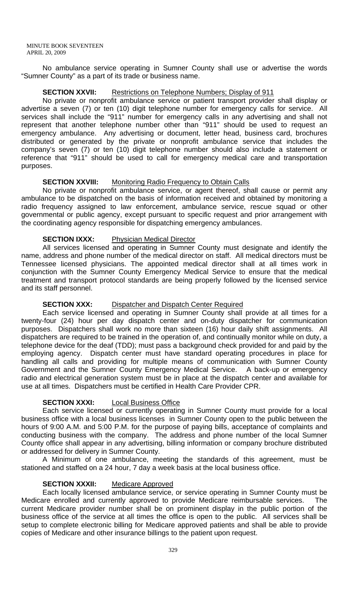No ambulance service operating in Sumner County shall use or advertise the words "Sumner County" as a part of its trade or business name.

## **SECTION XXVII:** Restrictions on Telephone Numbers; Display of 911

No private or nonprofit ambulance service or patient transport provider shall display or advertise a seven (7) or ten (10) digit telephone number for emergency calls for service. All services shall include the "911" number for emergency calls in any advertising and shall not represent that another telephone number other than "911" should be used to request an emergency ambulance. Any advertising or document, letter head, business card, brochures distributed or generated by the private or nonprofit ambulance service that includes the company's seven (7) or ten (10) digit telephone number should also include a statement or reference that "911" should be used to call for emergency medical care and transportation purposes.

## **SECTION XXVIII:** Monitoring Radio Frequency to Obtain Calls

No private or nonprofit ambulance service, or agent thereof, shall cause or permit any ambulance to be dispatched on the basis of information received and obtained by monitoring a radio frequency assigned to law enforcement, ambulance service, rescue squad or other governmental or public agency, except pursuant to specific request and prior arrangement with the coordinating agency responsible for dispatching emergency ambulances.

# **SECTION IXXX:** Physician Medical Director

All services licensed and operating in Sumner County must designate and identify the name, address and phone number of the medical director on staff. All medical directors must be Tennessee licensed physicians. The appointed medical director shall at all times work in conjunction with the Sumner County Emergency Medical Service to ensure that the medical treatment and transport protocol standards are being properly followed by the licensed service and its staff personnel.

#### **SECTION XXX:** Dispatcher and Dispatch Center Required

Each service licensed and operating in Sumner County shall provide at all times for a twenty-four (24) hour per day dispatch center and on-duty dispatcher for communication purposes. Dispatchers shall work no more than sixteen (16) hour daily shift assignments. All dispatchers are required to be trained in the operation of, and continually monitor while on duty, a telephone device for the deaf (TDD); must pass a background check provided for and paid by the employing agency. Dispatch center must have standard operating procedures in place for handling all calls and providing for multiple means of communication with Sumner County Government and the Sumner County Emergency Medical Service. A back-up or emergency radio and electrical generation system must be in place at the dispatch center and available for use at all times. Dispatchers must be certified in Health Care Provider CPR.

# **SECTION XXXI:** Local Business Office

Each service licensed or currently operating in Sumner County must provide for a local business office with a local business licenses in Sumner County open to the public between the hours of 9:00 A.M. and 5:00 P.M. for the purpose of paying bills, acceptance of complaints and conducting business with the company. The address and phone number of the local Sumner County office shall appear in any advertising, billing information or company brochure distributed or addressed for delivery in Sumner County.

A Minimum of one ambulance, meeting the standards of this agreement, must be stationed and staffed on a 24 hour, 7 day a week basis at the local business office.

# **SECTION XXXII:** Medicare Approved

Each locally licensed ambulance service, or service operating in Sumner County must be Medicare enrolled and currently approved to provide Medicare reimbursable services. The current Medicare provider number shall be on prominent display in the public portion of the business office of the service at all times the office is open to the public. All services shall be setup to complete electronic billing for Medicare approved patients and shall be able to provide copies of Medicare and other insurance billings to the patient upon request.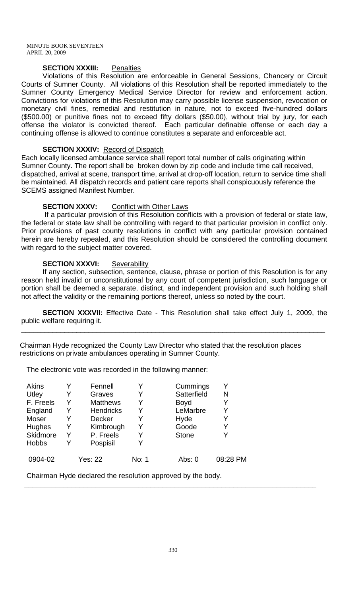## **SECTION XXXIII:** Penalties

Violations of this Resolution are enforceable in General Sessions, Chancery or Circuit Courts of Sumner County. All violations of this Resolution shall be reported immediately to the Sumner County Emergency Medical Service Director for review and enforcement action. Convictions for violations of this Resolution may carry possible license suspension, revocation or monetary civil fines, remedial and restitution in nature, not to exceed five-hundred dollars (\$500.00) or punitive fines not to exceed fifty dollars (\$50.00), without trial by jury, for each offense the violator is convicted thereof. Each particular definable offense or each day a continuing offense is allowed to continue constitutes a separate and enforceable act.

#### **SECTION XXXIV:** Record of Dispatch

Each locally licensed ambulance service shall report total number of calls originating within Sumner County. The report shall be broken down by zip code and include time call received, dispatched, arrival at scene, transport time, arrival at drop-off location, return to service time shall be maintained. All dispatch records and patient care reports shall conspicuously reference the SCEMS assigned Manifest Number.

#### **SECTION XXXV:** Conflict with Other Laws

 If a particular provision of this Resolution conflicts with a provision of federal or state law, the federal or state law shall be controlling with regard to that particular provision in conflict only. Prior provisions of past county resolutions in conflict with any particular provision contained herein are hereby repealed, and this Resolution should be considered the controlling document with regard to the subject matter covered.

#### **SECTION XXXVI:** Severability

If any section, subsection, sentence, clause, phrase or portion of this Resolution is for any reason held invalid or unconstitutional by any court of competent jurisdiction, such language or portion shall be deemed a separate, distinct, and independent provision and such holding shall not affect the validity or the remaining portions thereof, unless so noted by the court.

**SECTION XXXVII:** Effective Date - This Resolution shall take effect July 1, 2009, the public welfare requiring it.

\_\_\_\_\_\_\_\_\_\_\_\_\_\_\_\_\_\_\_\_\_\_\_\_\_\_\_\_\_\_\_\_\_\_\_\_\_\_\_\_\_\_\_\_\_\_\_\_\_\_\_\_\_\_\_\_\_\_\_\_\_\_\_\_\_\_\_\_\_\_\_\_\_\_\_\_\_

 Chairman Hyde recognized the County Law Director who stated that the resolution places restrictions on private ambulances operating in Sumner County.

The electronic vote was recorded in the following manner:

| <b>Akins</b> |   | Fennell          |       | Cummings     |          |
|--------------|---|------------------|-------|--------------|----------|
| Utley        | Y | Graves           | Y     | Satterfield  | N        |
| F. Freels    | Y | <b>Matthews</b>  | Y     | <b>Boyd</b>  |          |
| England      | Y | <b>Hendricks</b> | Y     | LeMarbre     |          |
| Moser        | Y | <b>Decker</b>    | Y     | Hyde         |          |
| Hughes       | Y | Kimbrough        | Y     | Goode        |          |
| Skidmore     | Y | P. Freels        | Y     | <b>Stone</b> |          |
| <b>Hobbs</b> |   | Pospisil         | Y     |              |          |
| 0904-02      |   | Yes: 22          | No: 1 | Abs: $0$     | 08:28 PM |

Chairman Hyde declared the resolution approved by the body.

 **\_\_\_\_\_\_\_\_\_\_\_\_\_\_\_\_\_\_\_\_\_\_\_\_\_\_\_\_\_\_\_\_\_\_\_\_\_\_\_\_\_\_\_\_\_\_\_\_\_\_\_\_\_\_\_\_\_\_\_\_\_\_\_\_\_\_\_\_\_\_\_\_\_\_**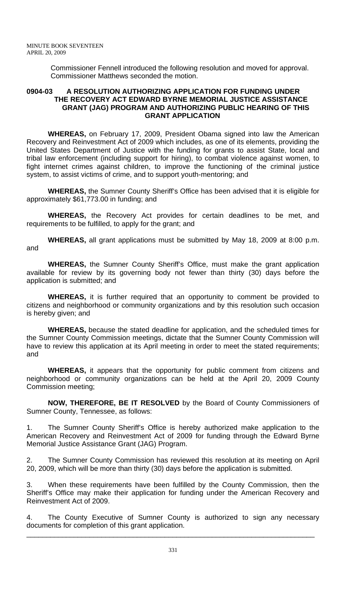Commissioner Fennell introduced the following resolution and moved for approval. Commissioner Matthews seconded the motion.

#### **0904-03 A RESOLUTION AUTHORIZING APPLICATION FOR FUNDING UNDER THE RECOVERY ACT EDWARD BYRNE MEMORIAL JUSTICE ASSISTANCE GRANT (JAG) PROGRAM AND AUTHORIZING PUBLIC HEARING OF THIS GRANT APPLICATION**

**WHEREAS,** on February 17, 2009, President Obama signed into law the American Recovery and Reinvestment Act of 2009 which includes, as one of its elements, providing the United States Department of Justice with the funding for grants to assist State, local and tribal law enforcement (including support for hiring), to combat violence against women, to fight internet crimes against children, to improve the functioning of the criminal justice system, to assist victims of crime, and to support youth-mentoring; and

**WHEREAS,** the Sumner County Sheriff's Office has been advised that it is eligible for approximately \$61,773.00 in funding; and

**WHEREAS,** the Recovery Act provides for certain deadlines to be met, and requirements to be fulfilled, to apply for the grant; and

**WHEREAS,** all grant applications must be submitted by May 18, 2009 at 8:00 p.m. and

**WHEREAS,** the Sumner County Sheriff's Office, must make the grant application available for review by its governing body not fewer than thirty (30) days before the application is submitted; and

**WHEREAS,** it is further required that an opportunity to comment be provided to citizens and neighborhood or community organizations and by this resolution such occasion is hereby given; and

**WHEREAS,** because the stated deadline for application, and the scheduled times for the Sumner County Commission meetings, dictate that the Sumner County Commission will have to review this application at its April meeting in order to meet the stated requirements; and

**WHEREAS,** it appears that the opportunity for public comment from citizens and neighborhood or community organizations can be held at the April 20, 2009 County Commission meeting;

**NOW, THEREFORE, BE IT RESOLVED** by the Board of County Commissioners of Sumner County, Tennessee, as follows:

The Sumner County Sheriff's Office is hereby authorized make application to the American Recovery and Reinvestment Act of 2009 for funding through the Edward Byrne Memorial Justice Assistance Grant (JAG) Program.

The Sumner County Commission has reviewed this resolution at its meeting on April 20, 2009, which will be more than thirty (30) days before the application is submitted.

3. When these requirements have been fulfilled by the County Commission, then the Sheriff's Office may make their application for funding under the American Recovery and Reinvestment Act of 2009.

4. The County Executive of Sumner County is authorized to sign any necessary documents for completion of this grant application.

\_\_\_\_\_\_\_\_\_\_\_\_\_\_\_\_\_\_\_\_\_\_\_\_\_\_\_\_\_\_\_\_\_\_\_\_\_\_\_\_\_\_\_\_\_\_\_\_\_\_\_\_\_\_\_\_\_\_\_\_\_\_\_\_\_\_\_\_\_\_\_\_\_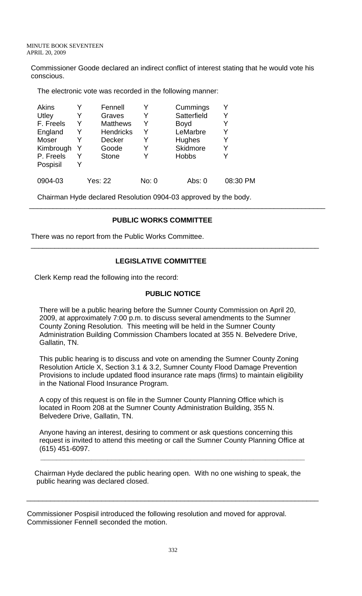Commissioner Goode declared an indirect conflict of interest stating that he would vote his conscious.

The electronic vote was recorded in the following manner:

| Akins     | Y | Fennell          |       | Cummings     | Y        |
|-----------|---|------------------|-------|--------------|----------|
| Utley     | Y | Graves           | Y     | Satterfield  | Y        |
| F. Freels | Y | <b>Matthews</b>  | Y     | <b>Boyd</b>  | Y        |
| England   | Y | <b>Hendricks</b> | Y     | LeMarbre     | Y        |
| Moser     |   | <b>Decker</b>    | Y     | Hughes       | Y        |
| Kimbrough | Y | Goode            |       | Skidmore     | Y        |
| P. Freels | Y | <b>Stone</b>     |       | <b>Hobbs</b> | Y        |
| Pospisil  |   |                  |       |              |          |
| 0904-03   |   | Yes: 22          | No: 0 | Abs: 0       | 08:30 PM |

Chairman Hyde declared Resolution 0904-03 approved by the body.

# **PUBLIC WORKS COMMITTEE**

\_\_\_\_\_\_\_\_\_\_\_\_\_\_\_\_\_\_\_\_\_\_\_\_\_\_\_\_\_\_\_\_\_\_\_\_\_\_\_\_\_\_\_\_\_\_\_\_\_\_\_\_\_\_\_\_\_\_\_\_\_\_\_\_\_\_\_\_\_\_\_\_\_\_\_

There was no report from the Public Works Committee.

# **LEGISLATIVE COMMITTEE**

 $\overline{\phantom{a}}$  , and the contribution of the contribution of the contribution of the contribution of the contribution of the contribution of the contribution of the contribution of the contribution of the contribution of the

Clerk Kemp read the following into the record:

# **PUBLIC NOTICE**

There will be a public hearing before the Sumner County Commission on April 20, 2009, at approximately 7:00 p.m. to discuss several amendments to the Sumner County Zoning Resolution. This meeting will be held in the Sumner County Administration Building Commission Chambers located at 355 N. Belvedere Drive, Gallatin, TN.

This public hearing is to discuss and vote on amending the Sumner County Zoning Resolution Article X, Section 3.1 & 3.2, Sumner County Flood Damage Prevention Provisions to include updated flood insurance rate maps (firms) to maintain eligibility in the National Flood Insurance Program.

A copy of this request is on file in the Sumner County Planning Office which is located in Room 208 at the Sumner County Administration Building, 355 N. Belvedere Drive, Gallatin, TN.

Anyone having an interest, desiring to comment or ask questions concerning this request is invited to attend this meeting or call the Sumner County Planning Office at (615) 451-6097.

 Chairman Hyde declared the public hearing open. With no one wishing to speak, the public hearing was declared closed.

\_\_\_\_\_\_\_\_\_\_\_\_\_\_\_\_\_\_\_\_\_\_\_\_\_\_\_\_\_\_\_\_\_\_\_\_\_\_\_\_\_\_\_\_\_\_\_\_\_\_\_\_\_\_\_\_\_\_\_\_\_\_\_\_\_\_\_\_\_\_\_\_\_\_

 **\_\_\_\_\_\_\_\_\_\_\_\_\_\_\_\_\_\_\_\_\_\_\_\_\_\_\_\_\_\_\_\_\_\_\_\_\_\_\_\_\_\_\_\_\_\_\_\_\_\_\_\_\_\_\_\_\_\_\_\_\_\_\_\_\_\_\_** 

Commissioner Pospisil introduced the following resolution and moved for approval. Commissioner Fennell seconded the motion.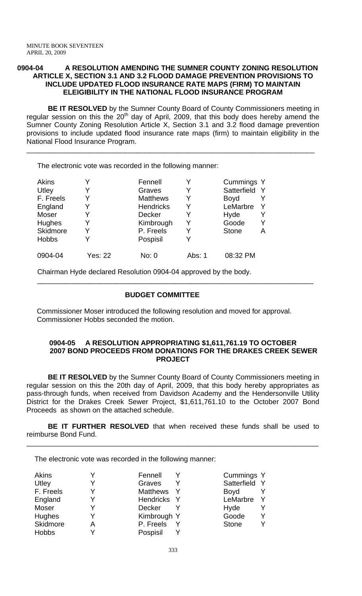#### **0904-04 A RESOLUTION AMENDING THE SUMNER COUNTY ZONING RESOLUTION ARTICLE X, SECTION 3.1 AND 3.2 FLOOD DAMAGE PREVENTION PROVISIONS TO INCLUDE UPDATED FLOOD INSURANCE RATE MAPS (FIRM) TO MAINTAIN ELEIGIBILITY IN THE NATIONAL FLOOD INSURANCE PROGRAM**

**BE IT RESOLVED** by the Sumner County Board of County Commissioners meeting in regular session on this the  $20<sup>th</sup>$  day of April, 2009, that this body does hereby amend the Sumner County Zoning Resolution Article X, Section 3.1 and 3.2 flood damage prevention provisions to include updated flood insurance rate maps (firm) to maintain eligibility in the National Flood Insurance Program.

\_\_\_\_\_\_\_\_\_\_\_\_\_\_\_\_\_\_\_\_\_\_\_\_\_\_\_\_\_\_\_\_\_\_\_\_\_\_\_\_\_\_\_\_\_\_\_\_\_\_\_\_\_\_\_\_\_\_\_\_\_\_\_\_\_\_\_\_\_\_\_\_\_

The electronic vote was recorded in the following manner:

| <b>Akins</b> | Y              | Fennell          |        | Cummings Y        |
|--------------|----------------|------------------|--------|-------------------|
| Utley        | Y              | Graves           |        | Satterfield       |
| F. Freels    | Y              | <b>Matthews</b>  | Y      | <b>Boyd</b>       |
| England      | Y              | <b>Hendricks</b> | Y      | LeMarbre          |
| Moser        | Y              | <b>Decker</b>    |        | Hyde              |
| Hughes       | Y              | Kimbrough        | Y      | Goode             |
| Skidmore     | Y              | P. Freels        |        | <b>Stone</b><br>Α |
| <b>Hobbs</b> | Y              | Pospisil         |        |                   |
| 0904-04      | <b>Yes: 22</b> | No: 0            | Abs: 1 | 08:32 PM          |

Chairman Hyde declared Resolution 0904-04 approved by the body.

## **BUDGET COMMITTEE**

\_\_\_\_\_\_\_\_\_\_\_\_\_\_\_\_\_\_\_\_\_\_\_\_\_\_\_\_\_\_\_\_\_\_\_\_\_\_\_\_\_\_\_\_\_\_\_\_\_\_\_\_\_\_\_\_\_\_\_\_\_\_\_\_\_\_\_\_\_\_

 Commissioner Moser introduced the following resolution and moved for approval. Commissioner Hobbs seconded the motion.

#### **0904-05 A RESOLUTION APPROPRIATING \$1,611,761.19 TO OCTOBER 2007 BOND PROCEEDS FROM DONATIONS FOR THE DRAKES CREEK SEWER PROJECT**

**BE IT RESOLVED** by the Sumner County Board of County Commissioners meeting in regular session on this the 20th day of April, 2009, that this body hereby appropriates as pass-through funds, when received from Davidson Academy and the Hendersonville Utility District for the Drakes Creek Sewer Project, \$1,611,761.10 to the October 2007 Bond Proceeds as shown on the attached schedule.

**BE IT FURTHER RESOLVED** that when received these funds shall be used to reimburse Bond Fund.

\_\_\_\_\_\_\_\_\_\_\_\_\_\_\_\_\_\_\_\_\_\_\_\_\_\_\_\_\_\_\_\_\_\_\_\_\_\_\_\_\_\_\_\_\_\_\_\_\_\_\_\_\_\_\_\_\_\_\_\_\_\_\_\_\_\_\_\_\_\_\_\_\_\_

The electronic vote was recorded in the following manner:

| Akins         |   | Fennell               | Cummings Y        |
|---------------|---|-----------------------|-------------------|
| Utley         |   | Graves<br>v           | Satterfield Y     |
| F. Freels     |   | <b>Matthews</b><br>-Y | <b>Boyd</b>       |
| England       |   | Hendricks Y           | LeMarbre          |
| Moser         |   | Decker                | Hyde              |
| <b>Hughes</b> |   | Kimbrough Y           | Goode<br>v        |
| Skidmore      | А | P. Freels             | v<br><b>Stone</b> |
| <b>Hobbs</b>  |   | Pospisil              |                   |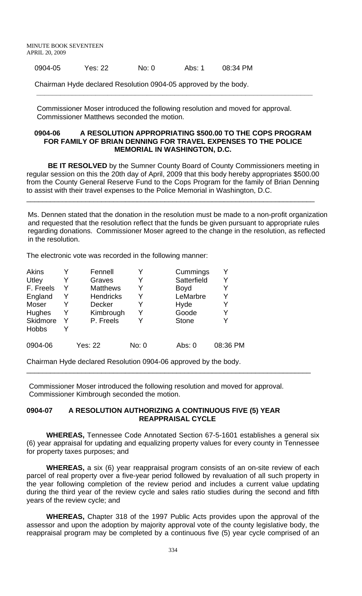0904-05 Yes: 22 No: 0 Abs: 1 08:34 PM

Chairman Hyde declared Resolution 0904-05 approved by the body.

 Commissioner Moser introduced the following resolution and moved for approval. Commissioner Matthews seconded the motion.

 **\_\_\_\_\_\_\_\_\_\_\_\_\_\_\_\_\_\_\_\_\_\_\_\_\_\_\_\_\_\_\_\_\_\_\_\_\_\_\_\_\_\_\_\_\_\_\_\_\_\_\_\_\_\_\_\_\_\_\_\_\_\_\_\_\_\_\_\_\_\_** 

#### **0904-06 A RESOLUTION APPROPRIATING \$500.00 TO THE COPS PROGRAM FOR FAMILY OF BRIAN DENNING FOR TRAVEL EXPENSES TO THE POLICE MEMORIAL IN WASHINGTON, D.C.**

**BE IT RESOLVED** by the Sumner County Board of County Commissioners meeting in regular session on this the 20th day of April, 2009 that this body hereby appropriates \$500.00 from the County General Reserve Fund to the Cops Program for the family of Brian Denning to assist with their travel expenses to the Police Memorial in Washington, D.C.

\_\_\_\_\_\_\_\_\_\_\_\_\_\_\_\_\_\_\_\_\_\_\_\_\_\_\_\_\_\_\_\_\_\_\_\_\_\_\_\_\_\_\_\_\_\_\_\_\_\_\_\_\_\_\_\_\_\_\_\_\_\_\_\_\_\_\_\_\_\_\_\_\_

 Ms. Dennen stated that the donation in the resolution must be made to a non-profit organization and requested that the resolution reflect that the funds be given pursuant to appropriate rules regarding donations. Commissioner Moser agreed to the change in the resolution, as reflected in the resolution.

The electronic vote was recorded in the following manner:

| <b>Akins</b>    |   | Fennell          |       | Cummings     |          |
|-----------------|---|------------------|-------|--------------|----------|
| Utley           |   | Graves           |       | Satterfield  | Y        |
| F. Freels       |   | <b>Matthews</b>  | Y     | <b>Boyd</b>  | Y        |
| England         | Y | <b>Hendricks</b> | Y     | LeMarbre     | Y        |
| Moser           |   | <b>Decker</b>    |       | Hyde         | Y        |
| Hughes          | Y | Kimbrough        | Y     | Goode        | Y        |
| <b>Skidmore</b> |   | P. Freels        |       | <b>Stone</b> | Y        |
| <b>Hobbs</b>    |   |                  |       |              |          |
| 0904-06         |   | <b>Yes: 22</b>   | No: 0 | Abs: 0       | 08:36 PM |

Chairman Hyde declared Resolution 0904-06 approved by the body.

 Commissioner Moser introduced the following resolution and moved for approval. Commissioner Kimbrough seconded the motion.

\_\_\_\_\_\_\_\_\_\_\_\_\_\_\_\_\_\_\_\_\_\_\_\_\_\_\_\_\_\_\_\_\_\_\_\_\_\_\_\_\_\_\_\_\_\_\_\_\_\_\_\_\_\_\_\_\_\_\_\_\_\_\_\_\_\_\_\_\_\_\_\_

#### **0904-07 A RESOLUTION AUTHORIZING A CONTINUOUS FIVE (5) YEAR REAPPRAISAL CYCLE**

 **WHEREAS,** Tennessee Code Annotated Section 67-5-1601 establishes a general six (6) year appraisal for updating and equalizing property values for every county in Tennessee for property taxes purposes; and

 **WHEREAS,** a six (6) year reappraisal program consists of an on-site review of each parcel of real property over a five-year period followed by revaluation of all such property in the year following completion of the review period and includes a current value updating during the third year of the review cycle and sales ratio studies during the second and fifth years of the review cycle; and

 **WHEREAS,** Chapter 318 of the 1997 Public Acts provides upon the approval of the assessor and upon the adoption by majority approval vote of the county legislative body, the reappraisal program may be completed by a continuous five (5) year cycle comprised of an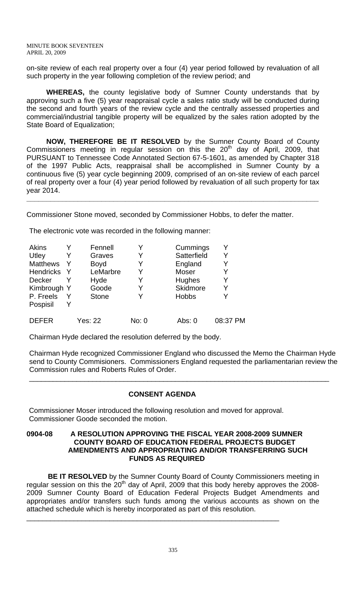on-site review of each real property over a four (4) year period followed by revaluation of all such property in the year following completion of the review period; and

 **WHEREAS,** the county legislative body of Sumner County understands that by approving such a five (5) year reappraisal cycle a sales ratio study will be conducted during the second and fourth years of the review cycle and the centrally assessed properties and commercial/industrial tangible property will be equalized by the sales ration adopted by the State Board of Equalization;

 **NOW, THEREFORE BE IT RESOLVED** by the Sumner County Board of County Commissioners meeting in regular session on this the  $20<sup>th</sup>$  day of April, 2009, that PURSUANT to Tennessee Code Annotated Section 67-5-1601, as amended by Chapter 318 of the 1997 Public Acts, reappraisal shall be accomplished in Sumner County by a continuous five (5) year cycle beginning 2009, comprised of an on-site review of each parcel of real property over a four (4) year period followed by revaluation of all such property for tax year 2014.

**\_\_\_\_\_\_\_\_\_\_\_\_\_\_\_\_\_\_\_\_\_\_\_\_\_\_\_\_\_\_\_\_\_\_\_\_\_\_\_\_\_\_\_\_\_\_\_\_\_\_\_\_\_\_\_\_\_\_\_\_\_\_\_\_\_\_\_\_\_\_\_\_\_\_**

Commissioner Stone moved, seconded by Commissioner Hobbs, to defer the matter.

The electronic vote was recorded in the following manner:

| Akins            | Fennell        | Y     | Cummings     |          |
|------------------|----------------|-------|--------------|----------|
| Utley            | Graves         | Y     | Satterfield  |          |
| <b>Matthews</b>  | <b>Boyd</b>    | Y     | England      |          |
| <b>Hendricks</b> | LeMarbre       | Y     | <b>Moser</b> | Y        |
| <b>Decker</b>    | Hyde           | Y     | Hughes       |          |
| Kimbrough Y      | Goode          | Y     | Skidmore     |          |
| P. Freels        | <b>Stone</b>   | Y     | <b>Hobbs</b> | V        |
| Pospisil         |                |       |              |          |
| <b>DEFER</b>     | <b>Yes: 22</b> | No: 0 | Abs: 0       | 08:37 PM |

Chairman Hyde declared the resolution deferred by the body.

Chairman Hyde recognized Commissioner England who discussed the Memo the Chairman Hyde send to County Commisioners. Commissioners England requested the parliamentarian review the Commission rules and Roberts Rules of Order.

\_\_\_\_\_\_\_\_\_\_\_\_\_\_\_\_\_\_\_\_\_\_\_\_\_\_\_\_\_\_\_\_\_\_\_\_\_\_\_\_\_\_\_\_\_\_\_\_\_\_\_\_\_\_\_\_\_\_\_\_\_\_\_\_\_\_\_\_\_\_\_\_\_\_\_\_

# **CONSENT AGENDA**

 Commissioner Moser introduced the following resolution and moved for approval. Commissioner Goode seconded the motion.

\_\_\_\_\_\_\_\_\_\_\_\_\_\_\_\_\_\_\_\_\_\_\_\_\_\_\_\_\_\_\_\_\_\_\_\_\_\_\_\_\_\_\_\_\_\_\_\_\_\_\_\_\_\_\_\_\_\_\_\_\_\_\_\_

#### **0904-08 A RESOLUTION APPROVING THE FISCAL YEAR 2008-2009 SUMNER COUNTY BOARD OF EDUCATION FEDERAL PROJECTS BUDGET AMENDMENTS AND APPROPRIATING AND/OR TRANSFERRING SUCH FUNDS AS REQUIRED**

**BE IT RESOLVED** by the Sumner County Board of County Commissioners meeting in regular session on this the 20<sup>th</sup> day of April, 2009 that this body hereby approves the 2008-2009 Sumner County Board of Education Federal Projects Budget Amendments and appropriates and/or transfers such funds among the various accounts as shown on the attached schedule which is hereby incorporated as part of this resolution.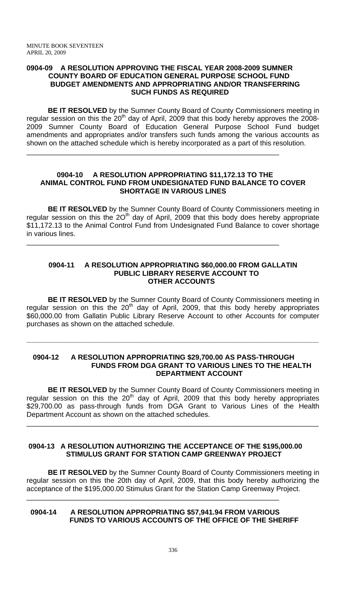#### **0904-09 A RESOLUTION APPROVING THE FISCAL YEAR 2008-2009 SUMNER COUNTY BOARD OF EDUCATION GENERAL PURPOSE SCHOOL FUND BUDGET AMENDMENTS AND APPROPRIATING AND/OR TRANSFERRING SUCH FUNDS AS REQUIRED**

 **BE IT RESOLVED** by the Sumner County Board of County Commissioners meeting in regular session on this the 20<sup>th</sup> day of April, 2009 that this body hereby approves the 2008-2009 Sumner County Board of Education General Purpose School Fund budget amendments and appropriates and/or transfers such funds among the various accounts as shown on the attached schedule which is hereby incorporated as a part of this resolution.

\_\_\_\_\_\_\_\_\_\_\_\_\_\_\_\_\_\_\_\_\_\_\_\_\_\_\_\_\_\_\_\_\_\_\_\_\_\_\_\_\_\_\_\_\_\_\_\_\_\_\_\_\_\_\_\_\_\_\_\_\_\_\_\_

\_\_\_\_\_\_\_\_\_\_\_\_\_\_\_\_\_\_\_\_\_\_\_\_\_\_\_\_\_\_\_\_\_\_\_\_\_\_\_\_\_\_\_\_\_\_\_\_\_\_\_\_\_\_\_\_\_\_\_\_\_\_\_\_

#### **0904-10 A RESOLUTION APPROPRIATING \$11,172.13 TO THE ANIMAL CONTROL FUND FROM UNDESIGNATED FUND BALANCE TO COVER SHORTAGE IN VARIOUS LINES**

 **BE IT RESOLVED** by the Sumner County Board of County Commissioners meeting in regular session on this the  $2O<sup>th</sup>$  day of April, 2009 that this body does hereby appropriate \$11,172.13 to the Animal Control Fund from Undesignated Fund Balance to cover shortage in various lines.

#### **0904-11 A RESOLUTION APPROPRIATING \$60,000.00 FROM GALLATIN PUBLIC LIBRARY RESERVE ACCOUNT TO OTHER ACCOUNTS**

**BE IT RESOLVED** by the Sumner County Board of County Commissioners meeting in regular session on this the  $20<sup>th</sup>$  day of April, 2009, that this body hereby appropriates \$60,000.00 from Gallatin Public Library Reserve Account to other Accounts for computer purchases as shown on the attached schedule.

#### **0904-12 A RESOLUTION APPROPRIATING \$29,700.00 AS PASS-THROUGH FUNDS FROM DGA GRANT TO VARIOUS LINES TO THE HEALTH DEPARTMENT ACCOUNT**

**\_\_\_\_\_\_\_\_\_\_\_\_\_\_\_\_\_\_\_\_\_\_\_\_\_\_\_\_\_\_\_\_\_\_\_\_\_\_\_\_\_\_\_\_\_\_\_\_\_\_\_\_\_\_\_\_\_\_\_\_\_\_\_\_\_\_\_\_\_\_\_\_\_\_** 

 **BE IT RESOLVED** by the Sumner County Board of County Commissioners meeting in regular session on this the  $20<sup>th</sup>$  day of April, 2009 that this body hereby appropriates \$29,700.00 as pass-through funds from DGA Grant to Various Lines of the Health Department Account as shown on the attached schedules.

\_\_\_\_\_\_\_\_\_\_\_\_\_\_\_\_\_\_\_\_\_\_\_\_\_\_\_\_\_\_\_\_\_\_\_\_\_\_\_\_\_\_\_\_\_\_\_\_\_\_\_\_\_\_\_\_\_\_\_\_\_\_\_\_\_\_\_\_\_\_\_\_\_\_

## **0904-13 A RESOLUTION AUTHORIZING THE ACCEPTANCE OF THE \$195,000.00 STIMULUS GRANT FOR STATION CAMP GREENWAY PROJECT**

**BE IT RESOLVED** by the Sumner County Board of County Commissioners meeting in regular session on this the 20th day of April, 2009, that this body hereby authorizing the acceptance of the \$195,000.00 Stimulus Grant for the Station Camp Greenway Project.

## **0904-14 A RESOLUTION APPROPRIATING \$57,941.94 FROM VARIOUS FUNDS TO VARIOUS ACCOUNTS OF THE OFFICE OF THE SHERIFF**

\_\_\_\_\_\_\_\_\_\_\_\_\_\_\_\_\_\_\_\_\_\_\_\_\_\_\_\_\_\_\_\_\_\_\_\_\_\_\_\_\_\_\_\_\_\_\_\_\_\_\_\_\_\_\_\_\_\_\_\_\_\_\_\_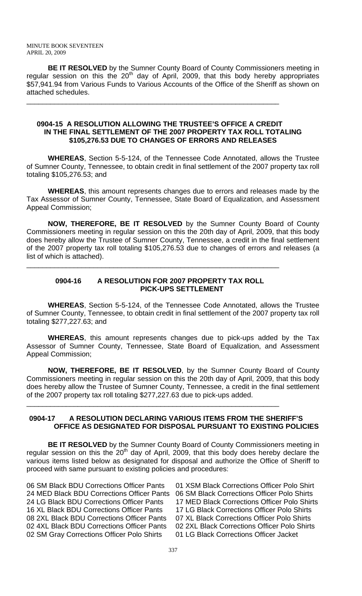**BE IT RESOLVED** by the Sumner County Board of County Commissioners meeting in regular session on this the  $20<sup>th</sup>$  day of April, 2009, that this body hereby appropriates \$57,941.94 from Various Funds to Various Accounts of the Office of the Sheriff as shown on attached schedules.

#### **0904-15 A RESOLUTION ALLOWING THE TRUSTEE'S OFFICE A CREDIT IN THE FINAL SETTLEMENT OF THE 2007 PROPERTY TAX ROLL TOTALING \$105,276.53 DUE TO CHANGES OF ERRORS AND RELEASES**

\_\_\_\_\_\_\_\_\_\_\_\_\_\_\_\_\_\_\_\_\_\_\_\_\_\_\_\_\_\_\_\_\_\_\_\_\_\_\_\_\_\_\_\_\_\_\_\_\_\_\_\_\_\_\_\_\_\_\_\_\_\_\_\_

 **WHEREAS**, Section 5-5-124, of the Tennessee Code Annotated, allows the Trustee of Sumner County, Tennessee, to obtain credit in final settlement of the 2007 property tax roll totaling \$105,276.53; and

**WHEREAS**, this amount represents changes due to errors and releases made by the Tax Assessor of Sumner County, Tennessee, State Board of Equalization, and Assessment Appeal Commission;

**NOW, THEREFORE, BE IT RESOLVED** by the Sumner County Board of County Commissioners meeting in regular session on this the 20th day of April, 2009, that this body does hereby allow the Trustee of Sumner County, Tennessee, a credit in the final settlement of the 2007 property tax roll totaling \$105,276.53 due to changes of errors and releases (a list of which is attached).

## **0904-16 A RESOLUTION FOR 2007 PROPERTY TAX ROLL PICK-UPS SETTLEMENT**

\_\_\_\_\_\_\_\_\_\_\_\_\_\_\_\_\_\_\_\_\_\_\_\_\_\_\_\_\_\_\_\_\_\_\_\_\_\_\_\_\_\_\_\_\_\_\_\_\_\_\_\_\_\_\_\_\_\_\_\_\_\_\_\_

 **WHEREAS**, Section 5-5-124, of the Tennessee Code Annotated, allows the Trustee of Sumner County, Tennessee, to obtain credit in final settlement of the 2007 property tax roll totaling \$277,227.63; and

**WHEREAS**, this amount represents changes due to pick-ups added by the Tax Assessor of Sumner County, Tennessee, State Board of Equalization, and Assessment Appeal Commission;

**NOW, THEREFORE, BE IT RESOLVED**, by the Sumner County Board of County Commissioners meeting in regular session on this the 20th day of April, 2009, that this body does hereby allow the Trustee of Sumner County, Tennessee, a credit in the final settlement of the 2007 property tax roll totaling \$277,227.63 due to pick-ups added.

## **0904-17 A RESOLUTION DECLARING VARIOUS ITEMS FROM THE SHERIFF'S OFFICE AS DESIGNATED FOR DISPOSAL PURSUANT TO EXISTING POLICIES**

\_\_\_\_\_\_\_\_\_\_\_\_\_\_\_\_\_\_\_\_\_\_\_\_\_\_\_\_\_\_\_\_\_\_\_\_\_\_\_\_\_\_\_\_\_\_\_\_\_\_\_\_\_\_\_\_\_\_\_\_\_\_\_\_

**BE IT RESOLVED** by the Sumner County Board of County Commissioners meeting in regular session on this the  $20<sup>th</sup>$  day of April, 2009, that this body does hereby declare the various items listed below as designated for disposal and authorize the Office of Sheriff to proceed with same pursuant to existing policies and procedures:

06 SM Black BDU Corrections Officer Pants 01 XSM Black Corrections Officer Polo Shirt 24 MED Black BDU Corrections Officer Pants 06 SM Black Corrections Officer Polo Shirts 16 XL Black BDU Corrections Officer Pants 17 LG Black Corrections Officer Polo Shirts 08 2XL Black BDU Corrections Officer Pants 07 XL Black Corrections Officer Polo Shirts 02 4XL Black BDU Corrections Officer Pants 02 2XL Black Corrections Officer Polo Shirts 02 SM Gray Corrections Officer Polo Shirts 01 LG Black Corrections Officer Jacket

24 LG Black BDU Corrections Officer Pants 17 MED Black Corrections Officer Polo Shirts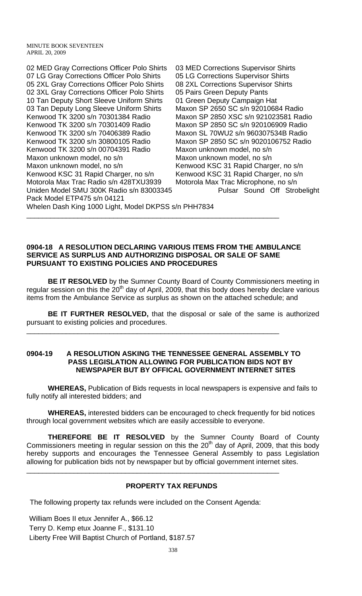02 MED Gray Corrections Officer Polo Shirts 03 MED Corrections Supervisor Shirts 07 LG Gray Corrections Officer Polo Shirts 05 LG Corrections Supervisor Shirts 05 2XL Gray Corrections Officer Polo Shirts 08 2XL Corrections Supervisor Shirts 02 3XL Gray Corrections Officer Polo Shirts 05 Pairs Green Deputy Pants 10 Tan Deputy Short Sleeve Uniform Shirts 01 Green Deputy Campaign Hat 03 Tan Deputy Long Sleeve Uniform Shirts Maxon SP 2650 SC s/n 92010684 Radio Kenwood TK 3200 s/n 70301384 Radio Maxon SP 2850 XSC s/n 921023581 Radio Kenwood TK 3200 s/n 70301409 Radio Maxon SP 2850 SC s/n 920106909 Radio Kenwood TK 3200 s/n 70406389 Radio Maxon SL 70WU2 s/n 960307534B Radio Kenwood TK 3200 s/n 30800105 Radio Maxon SP 2850 SC s/n 9020106752 Radio Kenwood TK 3200 s/n 00704391 Radio Maxon unknown model, no s/n Maxon unknown model, no s/n Maxon unknown model, no s/n Maxon unknown model, no s/n Kenwood KSC 31 Rapid Charger, no s/n Kenwood KSC 31 Rapid Charger, no s/n Kenwood KSC 31 Rapid Charger, no s/n Motorola Max Trac Radio s/n 428TXU3939 Motorola Max Trac Microphone, no s/n Uniden Model SMU 300K Radio s/n 83003345 Pulsar Sound Off Strobelight Pack Model ETP475 s/n 04121

Whelen Dash King 1000 Light, Model DKPSS s/n PHH7834

#### **0904-18 A RESOLUTION DECLARING VARIOUS ITEMS FROM THE AMBULANCE SERVICE AS SURPLUS AND AUTHORIZING DISPOSAL OR SALE OF SAME PURSUANT TO EXISTING POLICIES AND PROCEDURES**

\_\_\_\_\_\_\_\_\_\_\_\_\_\_\_\_\_\_\_\_\_\_\_\_\_\_\_\_\_\_\_\_\_\_\_\_\_\_\_\_\_\_\_\_\_\_\_\_\_\_\_\_\_\_\_\_\_\_\_\_\_\_\_\_

**BE IT RESOLVED** by the Sumner County Board of County Commissioners meeting in regular session on this the  $20<sup>th</sup>$  day of April, 2009, that this body does hereby declare various items from the Ambulance Service as surplus as shown on the attached schedule; and

**BE IT FURTHER RESOLVED,** that the disposal or sale of the same is authorized pursuant to existing policies and procedures.

#### **0904-19 A RESOLUTION ASKING THE TENNESSEE GENERAL ASSEMBLY TO PASS LEGISLATION ALLOWING FOR PUBLICATION BIDS NOT BY NEWSPAPER BUT BY OFFICAL GOVERNMENT INTERNET SITES**

\_\_\_\_\_\_\_\_\_\_\_\_\_\_\_\_\_\_\_\_\_\_\_\_\_\_\_\_\_\_\_\_\_\_\_\_\_\_\_\_\_\_\_\_\_\_\_\_\_\_\_\_\_\_\_\_\_\_\_\_\_\_\_\_

 **WHEREAS,** Publication of Bids requests in local newspapers is expensive and fails to fully notify all interested bidders; and

**WHEREAS,** interested bidders can be encouraged to check frequently for bid notices through local government websites which are easily accessible to everyone.

**THEREFORE BE IT RESOLVED** by the Sumner County Board of County Commissioners meeting in regular session on this the  $20<sup>th</sup>$  day of April, 2009, that this body hereby supports and encourages the Tennessee General Assembly to pass Legislation allowing for publication bids not by newspaper but by official government internet sites.

# **PROPERTY TAX REFUNDS**

The following property tax refunds were included on the Consent Agenda:

\_\_\_\_\_\_\_\_\_\_\_\_\_\_\_\_\_\_\_\_\_\_\_\_\_\_\_\_\_\_\_\_\_\_\_\_\_\_\_\_\_\_\_\_\_\_\_\_\_\_\_\_\_\_\_\_\_\_\_\_\_\_\_\_

William Boes II etux Jennifer A., \$66.12 Terry D. Kemp etux Joanne F., \$131.10 Liberty Free Will Baptist Church of Portland, \$187.57